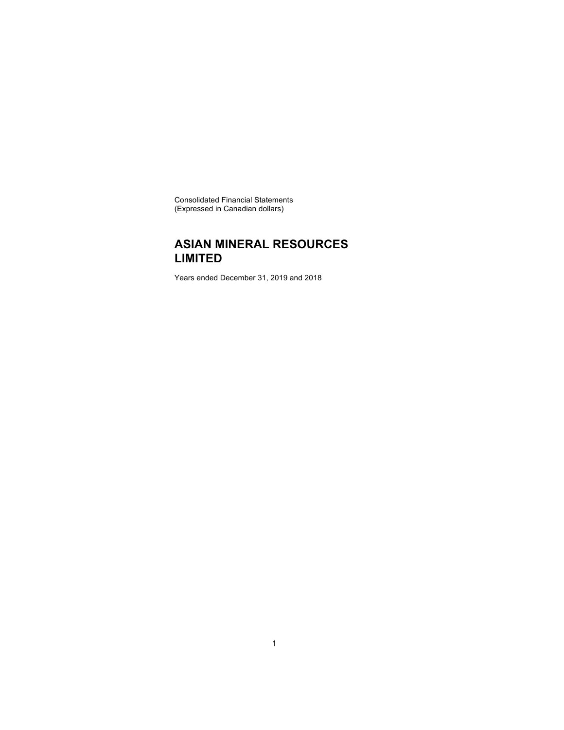Consolidated Financial Statements (Expressed in Canadian dollars)

## **ASIAN MINERAL RESOURCES LIMITED**

Years ended December 31, 2019 and 2018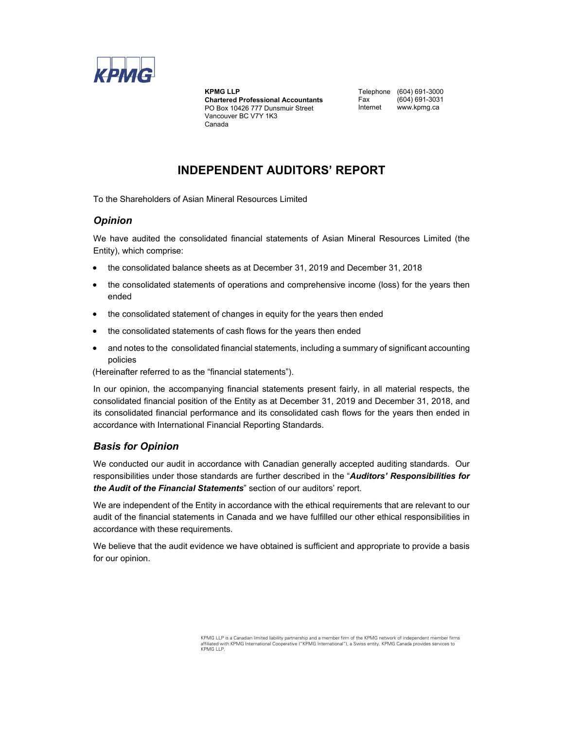

**KPMG LLP Chartered Professional Accountants** PO Box 10426 777 Dunsmuir Street Vancouver BC V7Y 1K3 Canada

Telephone (604) 691-3000 Fax (604) 691-3031<br>Internet www.kpmg.ca www.kpmg.ca

## **INDEPENDENT AUDITORS' REPORT**

To the Shareholders of Asian Mineral Resources Limited

## *Opinion*

We have audited the consolidated financial statements of Asian Mineral Resources Limited (the Entity), which comprise:

- the consolidated balance sheets as at December 31, 2019 and December 31, 2018
- the consolidated statements of operations and comprehensive income (loss) for the years then ended
- the consolidated statement of changes in equity for the years then ended
- the consolidated statements of cash flows for the years then ended
- and notes to the consolidated financial statements, including a summary of significant accounting policies

(Hereinafter referred to as the "financial statements").

In our opinion, the accompanying financial statements present fairly, in all material respects, the consolidated financial position of the Entity as at December 31, 2019 and December 31, 2018, and its consolidated financial performance and its consolidated cash flows for the years then ended in accordance with International Financial Reporting Standards.

## *Basis for Opinion*

We conducted our audit in accordance with Canadian generally accepted auditing standards. Our responsibilities under those standards are further described in the "*Auditors' Responsibilities for the Audit of the Financial Statements*" section of our auditors' report.

We are independent of the Entity in accordance with the ethical requirements that are relevant to our audit of the financial statements in Canada and we have fulfilled our other ethical responsibilities in accordance with these requirements.

We believe that the audit evidence we have obtained is sufficient and appropriate to provide a basis for our opinion.

KPMG LLP is a Canadian limited liability partnership and a member firm of the KPMG network of independent member firms affiliated with KPMG International Cooperative ("KPMG International"), a Swiss entity. KPMG Canada provides services to KPMG LLP.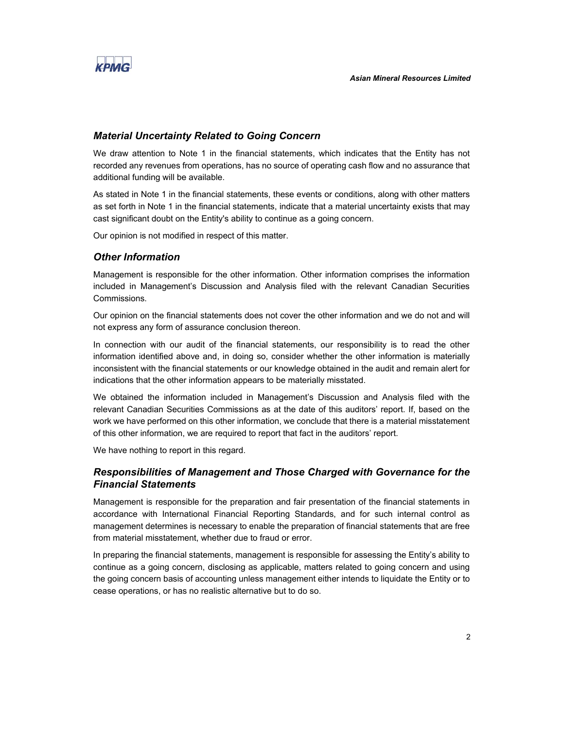

## *Material Uncertainty Related to Going Concern*

We draw attention to Note 1 in the financial statements, which indicates that the Entity has not recorded any revenues from operations, has no source of operating cash flow and no assurance that additional funding will be available.

As stated in Note 1 in the financial statements, these events or conditions, along with other matters as set forth in Note 1 in the financial statements, indicate that a material uncertainty exists that may cast significant doubt on the Entity's ability to continue as a going concern.

Our opinion is not modified in respect of this matter.

## *Other Information*

Management is responsible for the other information. Other information comprises the information included in Management's Discussion and Analysis filed with the relevant Canadian Securities Commissions.

Our opinion on the financial statements does not cover the other information and we do not and will not express any form of assurance conclusion thereon.

In connection with our audit of the financial statements, our responsibility is to read the other information identified above and, in doing so, consider whether the other information is materially inconsistent with the financial statements or our knowledge obtained in the audit and remain alert for indications that the other information appears to be materially misstated.

We obtained the information included in Management's Discussion and Analysis filed with the relevant Canadian Securities Commissions as at the date of this auditors' report. If, based on the work we have performed on this other information, we conclude that there is a material misstatement of this other information, we are required to report that fact in the auditors' report.

We have nothing to report in this regard.

## *Responsibilities of Management and Those Charged with Governance for the Financial Statements*

Management is responsible for the preparation and fair presentation of the financial statements in accordance with International Financial Reporting Standards, and for such internal control as management determines is necessary to enable the preparation of financial statements that are free from material misstatement, whether due to fraud or error.

In preparing the financial statements, management is responsible for assessing the Entity's ability to continue as a going concern, disclosing as applicable, matters related to going concern and using the going concern basis of accounting unless management either intends to liquidate the Entity or to cease operations, or has no realistic alternative but to do so.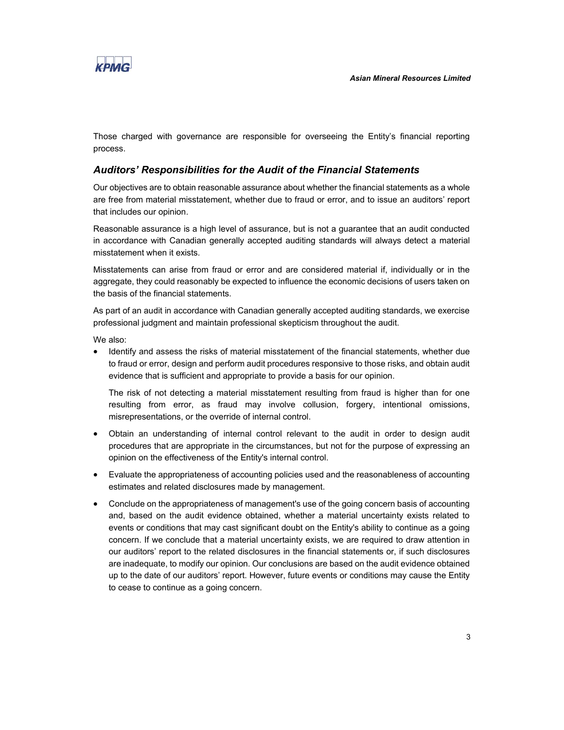

Those charged with governance are responsible for overseeing the Entity's financial reporting process.

## *Auditors' Responsibilities for the Audit of the Financial Statements*

Our objectives are to obtain reasonable assurance about whether the financial statements as a whole are free from material misstatement, whether due to fraud or error, and to issue an auditors' report that includes our opinion.

Reasonable assurance is a high level of assurance, but is not a guarantee that an audit conducted in accordance with Canadian generally accepted auditing standards will always detect a material misstatement when it exists.

Misstatements can arise from fraud or error and are considered material if, individually or in the aggregate, they could reasonably be expected to influence the economic decisions of users taken on the basis of the financial statements.

As part of an audit in accordance with Canadian generally accepted auditing standards, we exercise professional judgment and maintain professional skepticism throughout the audit.

We also:

• Identify and assess the risks of material misstatement of the financial statements, whether due to fraud or error, design and perform audit procedures responsive to those risks, and obtain audit evidence that is sufficient and appropriate to provide a basis for our opinion.

The risk of not detecting a material misstatement resulting from fraud is higher than for one resulting from error, as fraud may involve collusion, forgery, intentional omissions, misrepresentations, or the override of internal control.

- Obtain an understanding of internal control relevant to the audit in order to design audit procedures that are appropriate in the circumstances, but not for the purpose of expressing an opinion on the effectiveness of the Entity's internal control.
- Evaluate the appropriateness of accounting policies used and the reasonableness of accounting estimates and related disclosures made by management.
- Conclude on the appropriateness of management's use of the going concern basis of accounting and, based on the audit evidence obtained, whether a material uncertainty exists related to events or conditions that may cast significant doubt on the Entity's ability to continue as a going concern. If we conclude that a material uncertainty exists, we are required to draw attention in our auditors' report to the related disclosures in the financial statements or, if such disclosures are inadequate, to modify our opinion. Our conclusions are based on the audit evidence obtained up to the date of our auditors' report. However, future events or conditions may cause the Entity to cease to continue as a going concern.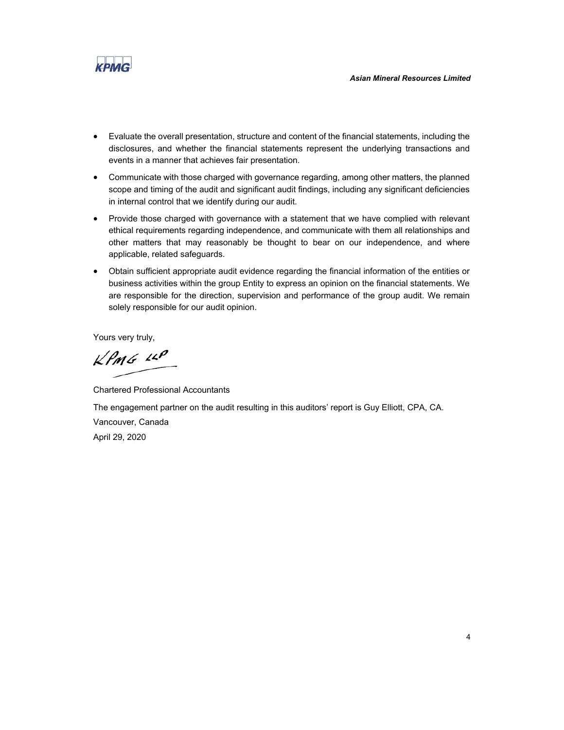

- Evaluate the overall presentation, structure and content of the financial statements, including the disclosures, and whether the financial statements represent the underlying transactions and events in a manner that achieves fair presentation.
- Communicate with those charged with governance regarding, among other matters, the planned scope and timing of the audit and significant audit findings, including any significant deficiencies in internal control that we identify during our audit.
- Provide those charged with governance with a statement that we have complied with relevant ethical requirements regarding independence, and communicate with them all relationships and other matters that may reasonably be thought to bear on our independence, and where applicable, related safeguards.
- Obtain sufficient appropriate audit evidence regarding the financial information of the entities or business activities within the group Entity to express an opinion on the financial statements. We are responsible for the direction, supervision and performance of the group audit. We remain solely responsible for our audit opinion.

Yours very truly,

 $k$ *PMG 14P* 

Chartered Professional Accountants The engagement partner on the audit resulting in this auditors' report is Guy Elliott, CPA, CA. Vancouver, Canada April 29, 2020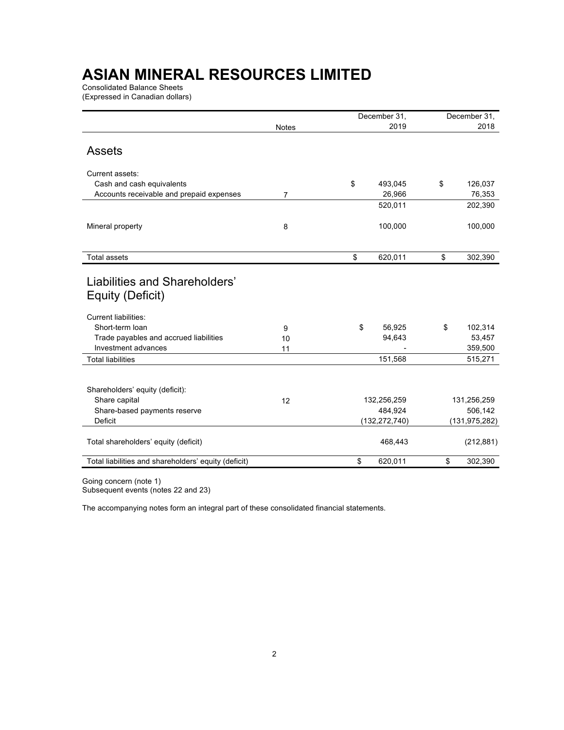Consolidated Balance Sheets (Expressed in Canadian dollars)

|                                                                                                              |                | December 31. |                  |    | December 31,      |
|--------------------------------------------------------------------------------------------------------------|----------------|--------------|------------------|----|-------------------|
|                                                                                                              | <b>Notes</b>   |              | 2019             |    | 2018              |
| <b>Assets</b>                                                                                                |                |              |                  |    |                   |
| Current assets:                                                                                              |                |              |                  |    |                   |
| Cash and cash equivalents                                                                                    |                | \$           | 493,045          | \$ | 126,037           |
| Accounts receivable and prepaid expenses                                                                     | $\overline{7}$ |              | 26,966           |    | 76,353            |
|                                                                                                              |                |              | 520,011          |    | 202,390           |
| Mineral property                                                                                             | 8              |              | 100,000          |    | 100,000           |
| <b>Total assets</b>                                                                                          |                | \$           | 620,011          | \$ | 302,390           |
| Equity (Deficit)<br><b>Current liabilities:</b><br>Short-term loan<br>Trade payables and accrued liabilities | 9<br>10        | \$           | 56,925<br>94,643 | \$ | 102,314<br>53,457 |
| Investment advances                                                                                          | 11             |              |                  |    | 359,500           |
| <b>Total liabilities</b>                                                                                     |                |              | 151,568          |    | 515,271           |
| Shareholders' equity (deficit):<br>Share capital                                                             | 12             |              | 132,256,259      |    | 131,256,259       |
| Share-based payments reserve                                                                                 |                |              | 484,924          |    | 506,142           |
| Deficit                                                                                                      |                |              | (132, 272, 740)  |    | (131, 975, 282)   |
| Total shareholders' equity (deficit)                                                                         |                |              | 468,443          |    | (212, 881)        |
| Total liabilities and shareholders' equity (deficit)                                                         |                | \$           | 620,011          | \$ | 302,390           |

Going concern (note 1) Subsequent events (notes 22 and 23)

The accompanying notes form an integral part of these consolidated financial statements.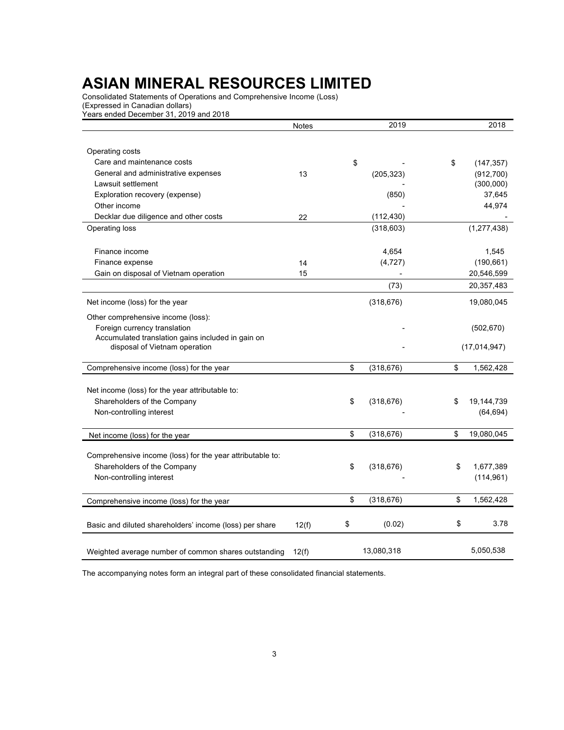Consolidated Statements of Operations and Comprehensive Income (Loss) (Expressed in Canadian dollars) Years ended December 31, 2019 and 2018

|                                                                                    | <b>Notes</b> | 2019             |    | 2018          |
|------------------------------------------------------------------------------------|--------------|------------------|----|---------------|
|                                                                                    |              |                  |    |               |
| Operating costs                                                                    |              |                  |    |               |
| Care and maintenance costs                                                         |              | \$               | \$ | (147, 357)    |
| General and administrative expenses                                                | 13           | (205, 323)       |    | (912,700)     |
| Lawsuit settlement                                                                 |              |                  |    | (300,000)     |
| Exploration recovery (expense)                                                     |              | (850)            |    | 37,645        |
| Other income                                                                       |              |                  |    | 44,974        |
| Decklar due diligence and other costs                                              | 22           | (112, 430)       |    |               |
| Operating loss                                                                     |              | (318, 603)       |    | (1, 277, 438) |
|                                                                                    |              |                  |    |               |
| Finance income                                                                     |              | 4,654            |    | 1,545         |
| Finance expense                                                                    | 14           | (4, 727)         |    | (190, 661)    |
| Gain on disposal of Vietnam operation                                              | 15           |                  |    | 20,546,599    |
|                                                                                    |              | (73)             |    | 20,357,483    |
| Net income (loss) for the year                                                     |              | (318, 676)       |    | 19,080,045    |
|                                                                                    |              |                  |    |               |
| Other comprehensive income (loss):                                                 |              |                  |    |               |
| Foreign currency translation                                                       |              |                  |    | (502, 670)    |
| Accumulated translation gains included in gain on<br>disposal of Vietnam operation |              |                  |    | (17,014,947)  |
|                                                                                    |              |                  |    |               |
| Comprehensive income (loss) for the year                                           |              | \$<br>(318, 676) | \$ | 1,562,428     |
|                                                                                    |              |                  |    |               |
| Net income (loss) for the year attributable to:                                    |              |                  |    |               |
| Shareholders of the Company                                                        |              | \$<br>(318, 676) | S  | 19,144,739    |
| Non-controlling interest                                                           |              |                  |    | (64, 694)     |
|                                                                                    |              |                  |    |               |
| Net income (loss) for the year                                                     |              | \$<br>(318, 676) | \$ | 19,080,045    |
|                                                                                    |              |                  |    |               |
| Comprehensive income (loss) for the year attributable to:                          |              |                  |    |               |
| Shareholders of the Company                                                        |              | \$<br>(318, 676) | \$ | 1,677,389     |
| Non-controlling interest                                                           |              |                  |    | (114, 961)    |
| Comprehensive income (loss) for the year                                           |              | \$<br>(318, 676) | \$ | 1,562,428     |
|                                                                                    |              |                  |    |               |
| Basic and diluted shareholders' income (loss) per share                            | 12(f)        | \$<br>(0.02)     | \$ | 3.78          |
|                                                                                    |              |                  |    |               |
|                                                                                    |              |                  |    |               |

The accompanying notes form an integral part of these consolidated financial statements.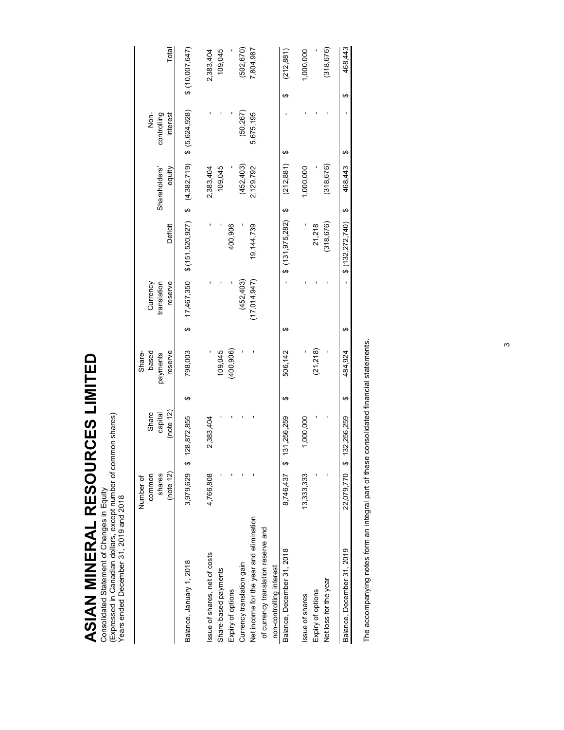ASIAN MINERAL RESOURCES LIMITED **ASIAN MINERAL RESOURCES LIMITED** Consolidated Statement of Changes in Equity

Consolidated Statement of Changes in Equity<br>(Expressed in Canadian dollars, except number of common shares)<br>Years ended December 31, 2019 and 2018 (Expressed in Canadian dollars, except number of common shares) Years ended December 31, 2019 and 2018

| 468,443        | ↮ | ക                               | 468,443                 | မာ                    | \$(132,272,740)                                 |                                    |   | 484,924                      | ക | 132,256,259                      | 22,079,770 \$                    | Balance, December 31, 2019              |
|----------------|---|---------------------------------|-------------------------|-----------------------|-------------------------------------------------|------------------------------------|---|------------------------------|---|----------------------------------|----------------------------------|-----------------------------------------|
| (318, 676)     |   |                                 | (318, 676)              |                       | (318, 676)                                      |                                    |   |                              |   |                                  |                                  | Net loss for the year                   |
|                |   |                                 |                         |                       | 21,218                                          |                                    |   | (21, 218)                    |   |                                  |                                  | Expiry of options                       |
| 1,000,000      |   |                                 | 1,000,000               |                       |                                                 |                                    |   |                              |   | 1,000,000                        | 13,333,333                       | Issue of shares                         |
| (212, 881)     | ക | ക                               | (212, 881)              | $\boldsymbol{\omega}$ | $$$ (131,975,282)                               |                                    | ⊬ | 506,142                      | ക | 131,256,259                      | 8,746,437 \$                     | Balance, December 31, 2018              |
|                |   |                                 |                         |                       |                                                 |                                    |   |                              |   |                                  |                                  | non-controlling interest                |
|                |   |                                 |                         |                       |                                                 |                                    |   |                              |   |                                  |                                  | of currency translation reserve and     |
| 7,804,987      |   | 5,675,195                       | 2,129,792               |                       | 19,144,739                                      | (17,014,947)                       |   |                              |   |                                  |                                  | Net income for the year and elimination |
| (502, 670)     |   | (50, 267)                       | (452, 403)              |                       |                                                 | (452, 403)                         |   |                              |   |                                  |                                  | Currency translation gain               |
|                |   |                                 |                         |                       | 400,906                                         |                                    |   | (400, 906)                   |   |                                  |                                  | Expiry of options                       |
| 109,045        |   |                                 | 109,045                 |                       |                                                 |                                    |   | 109,045                      |   |                                  |                                  | Share-based payments                    |
| 2,383,404      |   |                                 | 2,383,404               |                       |                                                 |                                    |   |                              |   | 2,383,404                        | 4,766,808                        | Issue of shares, net of costs           |
| \$(10,007,647) |   | \$ (5,624,928)                  |                         |                       | $17,467,350$ $$(151,520,927)$ $$$ $(4,382,719)$ |                                    |   | 798,003                      |   | 28,872,855                       | 3,979,629 \$                     | Balance, January 1, 2018                |
| Total          |   | Non-<br>controlling<br>interest | Shareholders'<br>equity |                       | Deficit                                         | reserve<br>translation<br>Currency |   | reserve<br>based<br>payments |   | (note $12$ )<br>Share<br>capital | (note $12$ )<br>shares<br>common |                                         |
|                |   |                                 |                         |                       |                                                 |                                    |   | Share-                       |   |                                  | Number of                        |                                         |

The accompanying notes form an integral part of these consolidated financial statements. The accompanying notes form an integral part of these consolidated financial statements.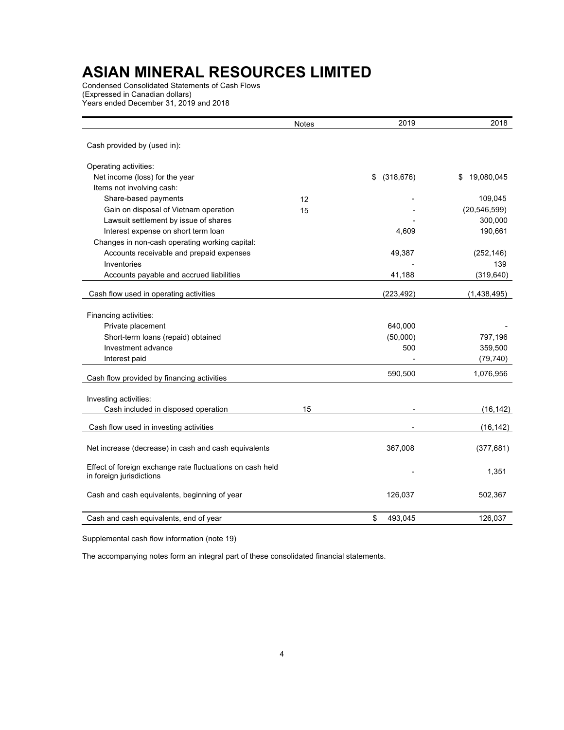Condensed Consolidated Statements of Cash Flows (Expressed in Canadian dollars) Years ended December 31, 2019 and 2018

|                                                                                       | <b>Notes</b> | 2019             | 2018             |
|---------------------------------------------------------------------------------------|--------------|------------------|------------------|
| Cash provided by (used in):                                                           |              |                  |                  |
| Operating activities:                                                                 |              |                  |                  |
| Net income (loss) for the year                                                        |              | \$<br>(318, 676) | 19,080,045<br>\$ |
| Items not involving cash:                                                             |              |                  |                  |
| Share-based payments                                                                  | 12           |                  | 109,045          |
| Gain on disposal of Vietnam operation                                                 | 15           |                  | (20, 546, 599)   |
| Lawsuit settlement by issue of shares                                                 |              |                  | 300,000          |
| Interest expense on short term loan                                                   |              | 4,609            | 190,661          |
| Changes in non-cash operating working capital:                                        |              |                  |                  |
| Accounts receivable and prepaid expenses                                              |              | 49,387           | (252, 146)       |
| Inventories                                                                           |              |                  | 139              |
| Accounts payable and accrued liabilities                                              |              | 41,188           | (319, 640)       |
| Cash flow used in operating activities                                                |              | (223, 492)       | (1,438,495)      |
| Financing activities:                                                                 |              |                  |                  |
| Private placement                                                                     |              | 640,000          |                  |
| Short-term loans (repaid) obtained                                                    |              | (50,000)         | 797,196          |
| Investment advance                                                                    |              | 500              | 359,500          |
| Interest paid                                                                         |              |                  | (79, 740)        |
|                                                                                       |              |                  |                  |
| Cash flow provided by financing activities                                            |              | 590,500          | 1,076,956        |
| Investing activities:                                                                 |              |                  |                  |
| Cash included in disposed operation                                                   | 15           |                  | (16, 142)        |
|                                                                                       |              |                  |                  |
| Cash flow used in investing activities                                                |              |                  | (16, 142)        |
| Net increase (decrease) in cash and cash equivalents                                  |              | 367,008          | (377, 681)       |
| Effect of foreign exchange rate fluctuations on cash held<br>in foreign jurisdictions |              |                  | 1,351            |
| Cash and cash equivalents, beginning of year                                          |              | 126,037          | 502,367          |
| Cash and cash equivalents, end of year                                                |              | \$<br>493,045    | 126,037          |

Supplemental cash flow information (note 19)

The accompanying notes form an integral part of these consolidated financial statements.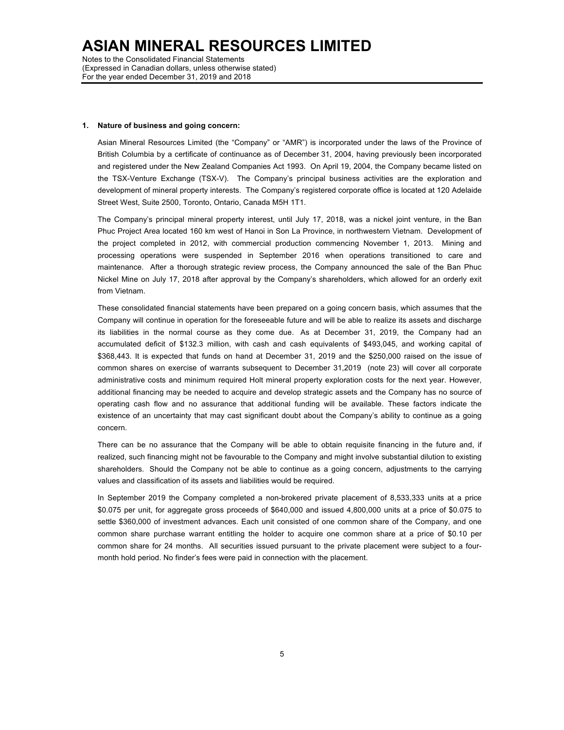Notes to the Consolidated Financial Statements (Expressed in Canadian dollars, unless otherwise stated) For the year ended December 31, 2019 and 2018

#### **1. Nature of business and going concern:**

Asian Mineral Resources Limited (the "Company" or "AMR") is incorporated under the laws of the Province of British Columbia by a certificate of continuance as of December 31, 2004, having previously been incorporated and registered under the New Zealand Companies Act 1993. On April 19, 2004, the Company became listed on the TSX-Venture Exchange (TSX-V). The Company's principal business activities are the exploration and development of mineral property interests. The Company's registered corporate office is located at 120 Adelaide Street West, Suite 2500, Toronto, Ontario, Canada M5H 1T1.

The Company's principal mineral property interest, until July 17, 2018, was a nickel joint venture, in the Ban Phuc Project Area located 160 km west of Hanoi in Son La Province, in northwestern Vietnam. Development of the project completed in 2012, with commercial production commencing November 1, 2013. Mining and processing operations were suspended in September 2016 when operations transitioned to care and maintenance. After a thorough strategic review process, the Company announced the sale of the Ban Phuc Nickel Mine on July 17, 2018 after approval by the Company's shareholders, which allowed for an orderly exit from Vietnam.

These consolidated financial statements have been prepared on a going concern basis, which assumes that the Company will continue in operation for the foreseeable future and will be able to realize its assets and discharge its liabilities in the normal course as they come due. As at December 31, 2019, the Company had an accumulated deficit of \$132.3 million, with cash and cash equivalents of \$493,045, and working capital of \$368,443. It is expected that funds on hand at December 31, 2019 and the \$250,000 raised on the issue of common shares on exercise of warrants subsequent to December 31,2019 (note 23) will cover all corporate administrative costs and minimum required Holt mineral property exploration costs for the next year. However, additional financing may be needed to acquire and develop strategic assets and the Company has no source of operating cash flow and no assurance that additional funding will be available. These factors indicate the existence of an uncertainty that may cast significant doubt about the Company's ability to continue as a going concern.

There can be no assurance that the Company will be able to obtain requisite financing in the future and, if realized, such financing might not be favourable to the Company and might involve substantial dilution to existing shareholders. Should the Company not be able to continue as a going concern, adjustments to the carrying values and classification of its assets and liabilities would be required.

In September 2019 the Company completed a non-brokered private placement of 8,533,333 units at a price \$0.075 per unit, for aggregate gross proceeds of \$640,000 and issued 4,800,000 units at a price of \$0.075 to settle \$360,000 of investment advances. Each unit consisted of one common share of the Company, and one common share purchase warrant entitling the holder to acquire one common share at a price of \$0.10 per common share for 24 months. All securities issued pursuant to the private placement were subject to a fourmonth hold period. No finder's fees were paid in connection with the placement.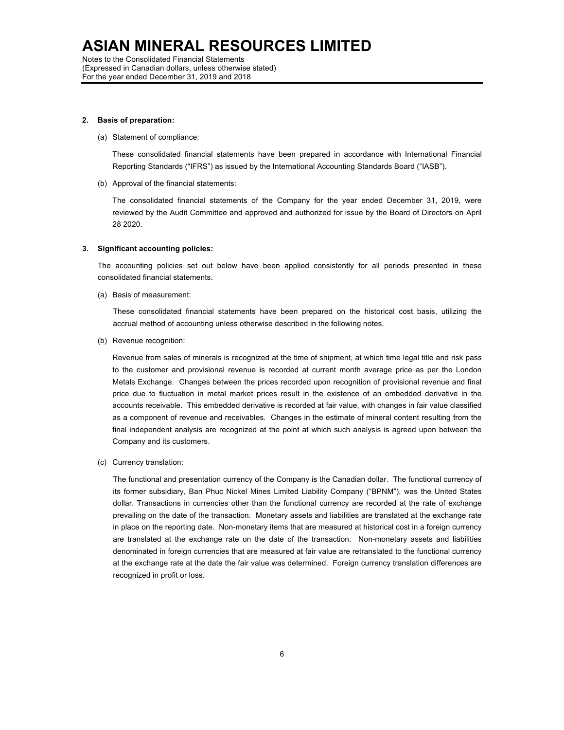Notes to the Consolidated Financial Statements (Expressed in Canadian dollars, unless otherwise stated) For the year ended December 31, 2019 and 2018

### **2. Basis of preparation:**

(a) Statement of compliance:

These consolidated financial statements have been prepared in accordance with International Financial Reporting Standards ("IFRS") as issued by the International Accounting Standards Board ("IASB").

(b) Approval of the financial statements:

The consolidated financial statements of the Company for the year ended December 31, 2019, were reviewed by the Audit Committee and approved and authorized for issue by the Board of Directors on April 28 2020.

### **3. Significant accounting policies:**

The accounting policies set out below have been applied consistently for all periods presented in these consolidated financial statements.

(a) Basis of measurement:

These consolidated financial statements have been prepared on the historical cost basis, utilizing the accrual method of accounting unless otherwise described in the following notes.

(b) Revenue recognition:

Revenue from sales of minerals is recognized at the time of shipment, at which time legal title and risk pass to the customer and provisional revenue is recorded at current month average price as per the London Metals Exchange. Changes between the prices recorded upon recognition of provisional revenue and final price due to fluctuation in metal market prices result in the existence of an embedded derivative in the accounts receivable. This embedded derivative is recorded at fair value, with changes in fair value classified as a component of revenue and receivables. Changes in the estimate of mineral content resulting from the final independent analysis are recognized at the point at which such analysis is agreed upon between the Company and its customers.

(c) Currency translation:

The functional and presentation currency of the Company is the Canadian dollar. The functional currency of its former subsidiary, Ban Phuc Nickel Mines Limited Liability Company ("BPNM"), was the United States dollar. Transactions in currencies other than the functional currency are recorded at the rate of exchange prevailing on the date of the transaction. Monetary assets and liabilities are translated at the exchange rate in place on the reporting date. Non-monetary items that are measured at historical cost in a foreign currency are translated at the exchange rate on the date of the transaction. Non-monetary assets and liabilities denominated in foreign currencies that are measured at fair value are retranslated to the functional currency at the exchange rate at the date the fair value was determined. Foreign currency translation differences are recognized in profit or loss.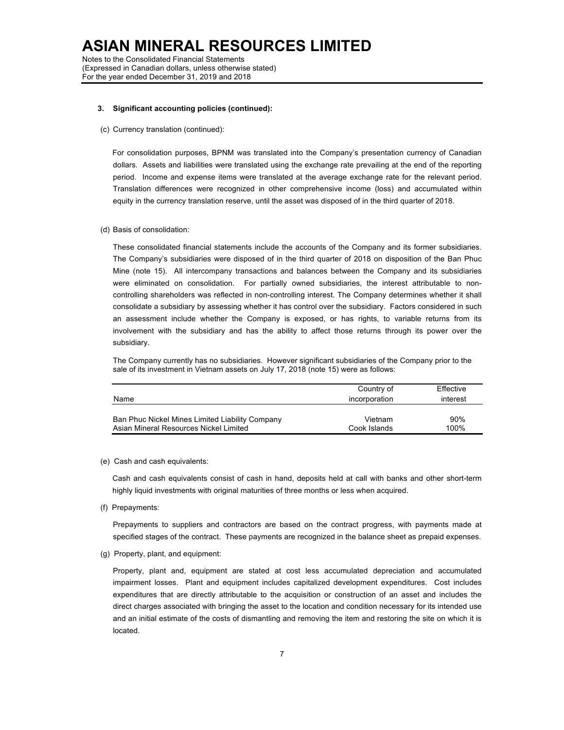Notes to the Consolidated Financial Statements (Expressed in Canadian dollars, unless otherwise stated) For the year ended December 31, 2019 and 2018

#### **3. Significant accounting policies (continued):**

(c) Currency translation (continued):

For consolidation purposes, BPNM was translated into the Company's presentation currency of Canadian dollars. Assets and liabilities were translated using the exchange rate prevailing at the end of the reporting period. Income and expense items were translated at the average exchange rate for the relevant period. Translation differences were recognized in other comprehensive income (loss) and accumulated within equity in the currency translation reserve, until the asset was disposed of in the third quarter of 2018.

#### (d) Basis of consolidation:

These consolidated financial statements include the accounts of the Company and its former subsidiaries. The Company's subsidiaries were disposed of in the third quarter of 2018 on disposition of the Ban Phuc Mine (note 15). All intercompany transactions and balances between the Company and its subsidiaries were eliminated on consolidation. For partially owned subsidiaries, the interest attributable to noncontrolling shareholders was reflected in non-controlling interest. The Company determines whether it shall consolidate a subsidiary by assessing whether it has control over the subsidiary. Factors considered in such an assessment include whether the Company is exposed, or has rights, to variable returns from its involvement with the subsidiary and has the ability to affect those returns through its power over the subsidiary.

The Company currently has no subsidiaries. However significant subsidiaries of the Company prior to the sale of its investment in Vietnam assets on July 17, 2018 (note 15) were as follows:

| Name                                            | Country of<br>incorporation | Effective<br>interest |
|-------------------------------------------------|-----------------------------|-----------------------|
| Ban Phuc Nickel Mines Limited Liability Company | Vietnam                     | 90%                   |
| Asian Mineral Resources Nickel Limited          | Cook Islands                | 100%                  |

(e) Cash and cash equivalents:

Cash and cash equivalents consist of cash in hand, deposits held at call with banks and other short-term highly liquid investments with original maturities of three months or less when acquired.

(f) Prepayments:

Prepayments to suppliers and contractors are based on the contract progress, with payments made at specified stages of the contract. These payments are recognized in the balance sheet as prepaid expenses.

(g) Property, plant, and equipment:

Property, plant and, equipment are stated at cost less accumulated depreciation and accumulated impairment losses. Plant and equipment includes capitalized development expenditures. Cost includes expenditures that are directly attributable to the acquisition or construction of an asset and includes the direct charges associated with bringing the asset to the location and condition necessary for its intended use and an initial estimate of the costs of dismantling and removing the item and restoring the site on which it is located.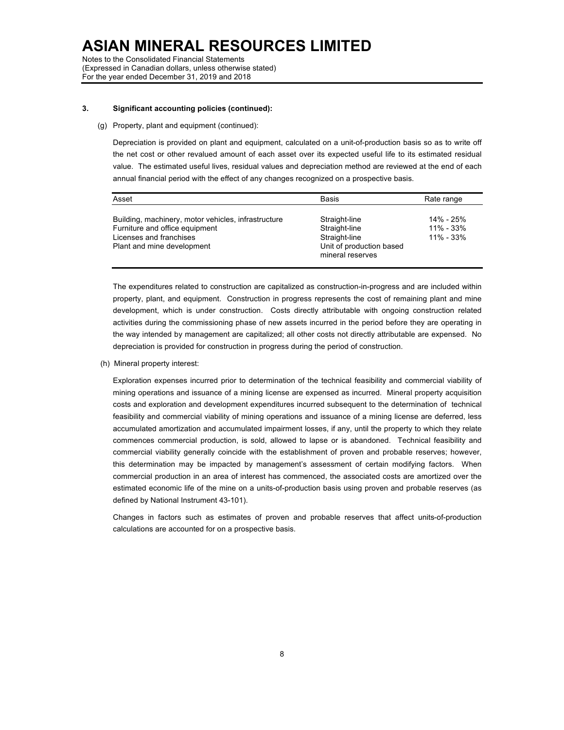Notes to the Consolidated Financial Statements (Expressed in Canadian dollars, unless otherwise stated) For the year ended December 31, 2019 and 2018

#### **3. Significant accounting policies (continued):**

#### (g) Property, plant and equipment (continued):

Depreciation is provided on plant and equipment, calculated on a unit-of-production basis so as to write off the net cost or other revalued amount of each asset over its expected useful life to its estimated residual value. The estimated useful lives, residual values and depreciation method are reviewed at the end of each annual financial period with the effect of any changes recognized on a prospective basis.

| Asset                                                                                                                                          | Basis                                                                                           | Rate range                                  |
|------------------------------------------------------------------------------------------------------------------------------------------------|-------------------------------------------------------------------------------------------------|---------------------------------------------|
| Building, machinery, motor vehicles, infrastructure<br>Furniture and office equipment<br>Licenses and franchises<br>Plant and mine development | Straight-line<br>Straight-line<br>Straight-line<br>Unit of production based<br>mineral reserves | 14% - 25%<br>$11\% - 33\%$<br>$11\% - 33\%$ |

The expenditures related to construction are capitalized as construction-in-progress and are included within property, plant, and equipment. Construction in progress represents the cost of remaining plant and mine development, which is under construction. Costs directly attributable with ongoing construction related activities during the commissioning phase of new assets incurred in the period before they are operating in the way intended by management are capitalized; all other costs not directly attributable are expensed. No depreciation is provided for construction in progress during the period of construction.

(h) Mineral property interest:

Exploration expenses incurred prior to determination of the technical feasibility and commercial viability of mining operations and issuance of a mining license are expensed as incurred. Mineral property acquisition costs and exploration and development expenditures incurred subsequent to the determination of technical feasibility and commercial viability of mining operations and issuance of a mining license are deferred, less accumulated amortization and accumulated impairment losses, if any, until the property to which they relate commences commercial production, is sold, allowed to lapse or is abandoned. Technical feasibility and commercial viability generally coincide with the establishment of proven and probable reserves; however, this determination may be impacted by management's assessment of certain modifying factors. When commercial production in an area of interest has commenced, the associated costs are amortized over the estimated economic life of the mine on a units-of-production basis using proven and probable reserves (as defined by National Instrument 43-101).

Changes in factors such as estimates of proven and probable reserves that affect units-of-production calculations are accounted for on a prospective basis.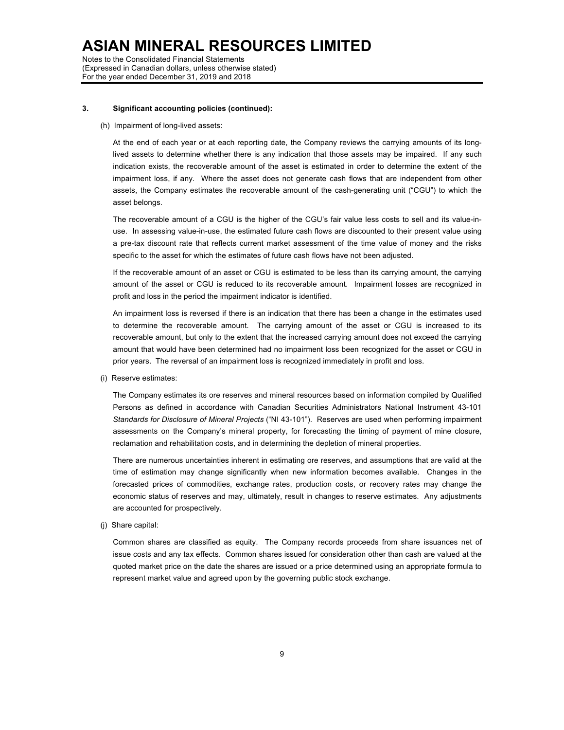Notes to the Consolidated Financial Statements (Expressed in Canadian dollars, unless otherwise stated) For the year ended December 31, 2019 and 2018

#### **3. Significant accounting policies (continued):**

(h) Impairment of long-lived assets:

At the end of each year or at each reporting date, the Company reviews the carrying amounts of its longlived assets to determine whether there is any indication that those assets may be impaired. If any such indication exists, the recoverable amount of the asset is estimated in order to determine the extent of the impairment loss, if any. Where the asset does not generate cash flows that are independent from other assets, the Company estimates the recoverable amount of the cash-generating unit ("CGU") to which the asset belongs.

The recoverable amount of a CGU is the higher of the CGU's fair value less costs to sell and its value-inuse. In assessing value-in-use, the estimated future cash flows are discounted to their present value using a pre-tax discount rate that reflects current market assessment of the time value of money and the risks specific to the asset for which the estimates of future cash flows have not been adjusted.

If the recoverable amount of an asset or CGU is estimated to be less than its carrying amount, the carrying amount of the asset or CGU is reduced to its recoverable amount. Impairment losses are recognized in profit and loss in the period the impairment indicator is identified.

An impairment loss is reversed if there is an indication that there has been a change in the estimates used to determine the recoverable amount. The carrying amount of the asset or CGU is increased to its recoverable amount, but only to the extent that the increased carrying amount does not exceed the carrying amount that would have been determined had no impairment loss been recognized for the asset or CGU in prior years. The reversal of an impairment loss is recognized immediately in profit and loss.

(i) Reserve estimates:

The Company estimates its ore reserves and mineral resources based on information compiled by Qualified Persons as defined in accordance with Canadian Securities Administrators National Instrument 43-101 *Standards for Disclosure of Mineral Projects* ("NI 43-101"). Reserves are used when performing impairment assessments on the Company's mineral property, for forecasting the timing of payment of mine closure, reclamation and rehabilitation costs, and in determining the depletion of mineral properties.

There are numerous uncertainties inherent in estimating ore reserves, and assumptions that are valid at the time of estimation may change significantly when new information becomes available. Changes in the forecasted prices of commodities, exchange rates, production costs, or recovery rates may change the economic status of reserves and may, ultimately, result in changes to reserve estimates. Any adjustments are accounted for prospectively.

(j) Share capital:

Common shares are classified as equity. The Company records proceeds from share issuances net of issue costs and any tax effects. Common shares issued for consideration other than cash are valued at the quoted market price on the date the shares are issued or a price determined using an appropriate formula to represent market value and agreed upon by the governing public stock exchange.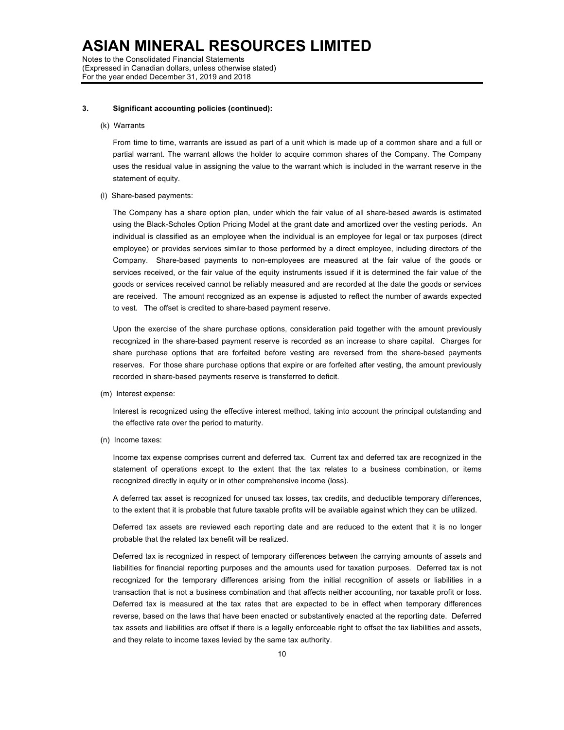Notes to the Consolidated Financial Statements (Expressed in Canadian dollars, unless otherwise stated) For the year ended December 31, 2019 and 2018

#### **3. Significant accounting policies (continued):**

(k) Warrants

From time to time, warrants are issued as part of a unit which is made up of a common share and a full or partial warrant. The warrant allows the holder to acquire common shares of the Company. The Company uses the residual value in assigning the value to the warrant which is included in the warrant reserve in the statement of equity.

(l) Share-based payments:

The Company has a share option plan, under which the fair value of all share-based awards is estimated using the Black-Scholes Option Pricing Model at the grant date and amortized over the vesting periods. An individual is classified as an employee when the individual is an employee for legal or tax purposes (direct employee) or provides services similar to those performed by a direct employee, including directors of the Company. Share-based payments to non-employees are measured at the fair value of the goods or services received, or the fair value of the equity instruments issued if it is determined the fair value of the goods or services received cannot be reliably measured and are recorded at the date the goods or services are received. The amount recognized as an expense is adjusted to reflect the number of awards expected to vest. The offset is credited to share-based payment reserve.

Upon the exercise of the share purchase options, consideration paid together with the amount previously recognized in the share-based payment reserve is recorded as an increase to share capital. Charges for share purchase options that are forfeited before vesting are reversed from the share-based payments reserves. For those share purchase options that expire or are forfeited after vesting, the amount previously recorded in share-based payments reserve is transferred to deficit.

(m) Interest expense:

Interest is recognized using the effective interest method, taking into account the principal outstanding and the effective rate over the period to maturity.

(n) Income taxes:

Income tax expense comprises current and deferred tax. Current tax and deferred tax are recognized in the statement of operations except to the extent that the tax relates to a business combination, or items recognized directly in equity or in other comprehensive income (loss).

A deferred tax asset is recognized for unused tax losses, tax credits, and deductible temporary differences, to the extent that it is probable that future taxable profits will be available against which they can be utilized.

Deferred tax assets are reviewed each reporting date and are reduced to the extent that it is no longer probable that the related tax benefit will be realized.

Deferred tax is recognized in respect of temporary differences between the carrying amounts of assets and liabilities for financial reporting purposes and the amounts used for taxation purposes. Deferred tax is not recognized for the temporary differences arising from the initial recognition of assets or liabilities in a transaction that is not a business combination and that affects neither accounting, nor taxable profit or loss. Deferred tax is measured at the tax rates that are expected to be in effect when temporary differences reverse, based on the laws that have been enacted or substantively enacted at the reporting date. Deferred tax assets and liabilities are offset if there is a legally enforceable right to offset the tax liabilities and assets, and they relate to income taxes levied by the same tax authority.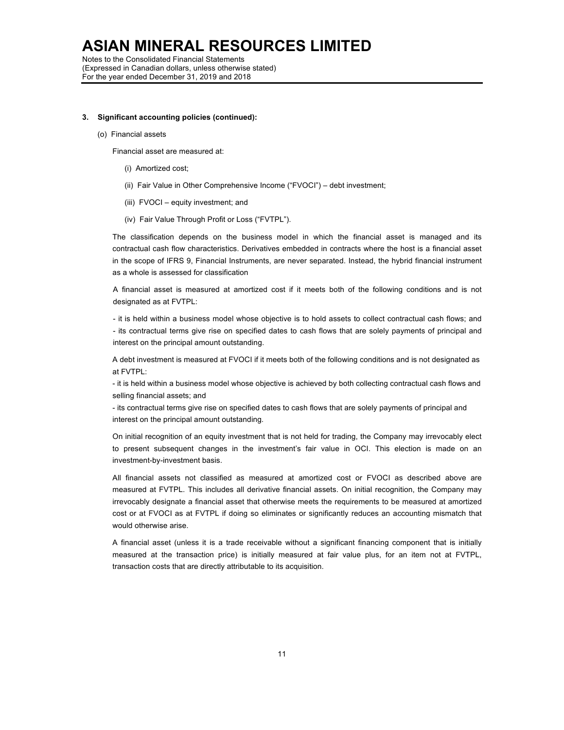Notes to the Consolidated Financial Statements (Expressed in Canadian dollars, unless otherwise stated) For the year ended December 31, 2019 and 2018

### **3. Significant accounting policies (continued):**

#### (o) Financial assets

Financial asset are measured at:

- (i) Amortized cost;
- (ii) Fair Value in Other Comprehensive Income ("FVOCI") debt investment;
- (iii) FVOCI equity investment; and
- (iv) Fair Value Through Profit or Loss ("FVTPL").

The classification depends on the business model in which the financial asset is managed and its contractual cash flow characteristics. Derivatives embedded in contracts where the host is a financial asset in the scope of IFRS 9, Financial Instruments, are never separated. Instead, the hybrid financial instrument as a whole is assessed for classification

A financial asset is measured at amortized cost if it meets both of the following conditions and is not designated as at FVTPL:

- it is held within a business model whose objective is to hold assets to collect contractual cash flows; and - its contractual terms give rise on specified dates to cash flows that are solely payments of principal and interest on the principal amount outstanding.

A debt investment is measured at FVOCI if it meets both of the following conditions and is not designated as at FVTPL:

- it is held within a business model whose objective is achieved by both collecting contractual cash flows and selling financial assets; and

- its contractual terms give rise on specified dates to cash flows that are solely payments of principal and interest on the principal amount outstanding.

On initial recognition of an equity investment that is not held for trading, the Company may irrevocably elect to present subsequent changes in the investment's fair value in OCI. This election is made on an investment-by-investment basis.

All financial assets not classified as measured at amortized cost or FVOCI as described above are measured at FVTPL. This includes all derivative financial assets. On initial recognition, the Company may irrevocably designate a financial asset that otherwise meets the requirements to be measured at amortized cost or at FVOCI as at FVTPL if doing so eliminates or significantly reduces an accounting mismatch that would otherwise arise.

A financial asset (unless it is a trade receivable without a significant financing component that is initially measured at the transaction price) is initially measured at fair value plus, for an item not at FVTPL, transaction costs that are directly attributable to its acquisition.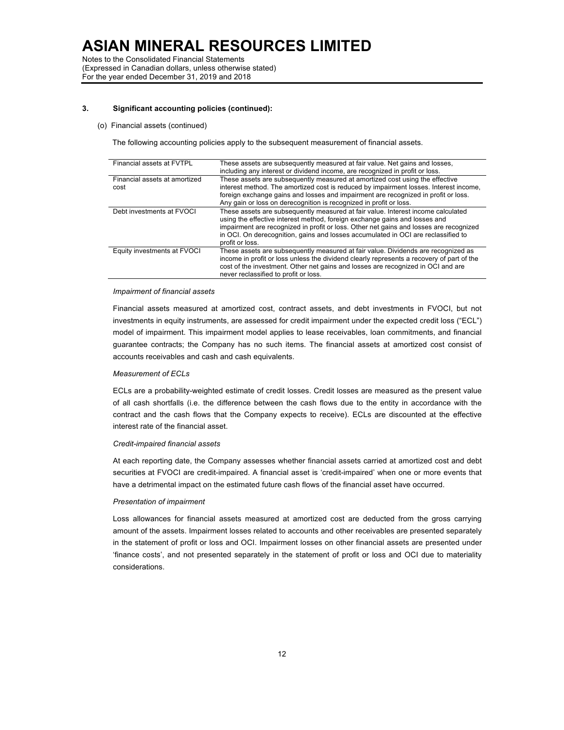Notes to the Consolidated Financial Statements (Expressed in Canadian dollars, unless otherwise stated) For the year ended December 31, 2019 and 2018

### **3. Significant accounting policies (continued):**

#### (o) Financial assets (continued)

The following accounting policies apply to the subsequent measurement of financial assets.

| Financial assets at FVTPL             | These assets are subsequently measured at fair value. Net gains and losses,<br>including any interest or dividend income, are recognized in profit or loss.                                                                                                                                                                                                      |
|---------------------------------------|------------------------------------------------------------------------------------------------------------------------------------------------------------------------------------------------------------------------------------------------------------------------------------------------------------------------------------------------------------------|
| Financial assets at amortized<br>cost | These assets are subsequently measured at amortized cost using the effective<br>interest method. The amortized cost is reduced by impairment losses. Interest income,<br>foreign exchange gains and losses and impairment are recognized in profit or loss.<br>Any gain or loss on derecognition is recognized in profit or loss.                                |
| Debt investments at FVOCI             | These assets are subsequently measured at fair value. Interest income calculated<br>using the effective interest method, foreign exchange gains and losses and<br>impairment are recognized in profit or loss. Other net gains and losses are recognized<br>in OCI. On derecognition, gains and losses accumulated in OCI are reclassified to<br>profit or loss. |
| Equity investments at FVOCI           | These assets are subsequently measured at fair value. Dividends are recognized as<br>income in profit or loss unless the dividend clearly represents a recovery of part of the<br>cost of the investment. Other net gains and losses are recognized in OCI and are<br>never reclassified to profit or loss.                                                      |

#### *Impairment of financial assets*

Financial assets measured at amortized cost, contract assets, and debt investments in FVOCI, but not investments in equity instruments, are assessed for credit impairment under the expected credit loss ("ECL") model of impairment. This impairment model applies to lease receivables, loan commitments, and financial guarantee contracts; the Company has no such items. The financial assets at amortized cost consist of accounts receivables and cash and cash equivalents.

#### *Measurement of ECLs*

ECLs are a probability-weighted estimate of credit losses. Credit losses are measured as the present value of all cash shortfalls (i.e. the difference between the cash flows due to the entity in accordance with the contract and the cash flows that the Company expects to receive). ECLs are discounted at the effective interest rate of the financial asset.

#### *Credit-impaired financial assets*

At each reporting date, the Company assesses whether financial assets carried at amortized cost and debt securities at FVOCI are credit-impaired. A financial asset is 'credit-impaired' when one or more events that have a detrimental impact on the estimated future cash flows of the financial asset have occurred.

#### *Presentation of impairment*

Loss allowances for financial assets measured at amortized cost are deducted from the gross carrying amount of the assets. Impairment losses related to accounts and other receivables are presented separately in the statement of profit or loss and OCI. Impairment losses on other financial assets are presented under 'finance costs', and not presented separately in the statement of profit or loss and OCI due to materiality considerations.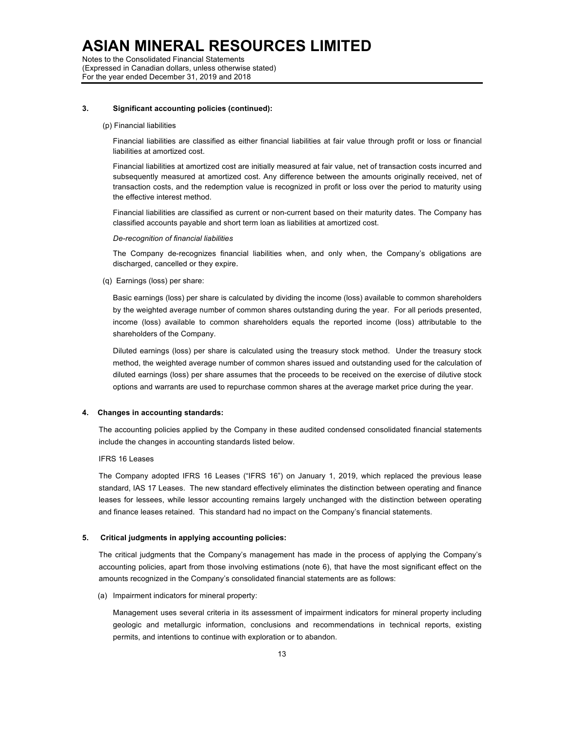Notes to the Consolidated Financial Statements (Expressed in Canadian dollars, unless otherwise stated) For the year ended December 31, 2019 and 2018

#### **3. Significant accounting policies (continued):**

#### (p) Financial liabilities

Financial liabilities are classified as either financial liabilities at fair value through profit or loss or financial liabilities at amortized cost.

Financial liabilities at amortized cost are initially measured at fair value, net of transaction costs incurred and subsequently measured at amortized cost. Any difference between the amounts originally received, net of transaction costs, and the redemption value is recognized in profit or loss over the period to maturity using the effective interest method.

Financial liabilities are classified as current or non-current based on their maturity dates. The Company has classified accounts payable and short term loan as liabilities at amortized cost.

#### *De-recognition of financial liabilities*

The Company de-recognizes financial liabilities when, and only when, the Company's obligations are discharged, cancelled or they expire.

### (q) Earnings (loss) per share:

Basic earnings (loss) per share is calculated by dividing the income (loss) available to common shareholders by the weighted average number of common shares outstanding during the year. For all periods presented, income (loss) available to common shareholders equals the reported income (loss) attributable to the shareholders of the Company.

Diluted earnings (loss) per share is calculated using the treasury stock method. Under the treasury stock method, the weighted average number of common shares issued and outstanding used for the calculation of diluted earnings (loss) per share assumes that the proceeds to be received on the exercise of dilutive stock options and warrants are used to repurchase common shares at the average market price during the year.

#### **4. Changes in accounting standards:**

The accounting policies applied by the Company in these audited condensed consolidated financial statements include the changes in accounting standards listed below.

### IFRS 16 Leases

The Company adopted IFRS 16 Leases ("IFRS 16") on January 1, 2019, which replaced the previous lease standard, IAS 17 Leases. The new standard effectively eliminates the distinction between operating and finance leases for lessees, while lessor accounting remains largely unchanged with the distinction between operating and finance leases retained. This standard had no impact on the Company's financial statements.

## **5. Critical judgments in applying accounting policies:**

The critical judgments that the Company's management has made in the process of applying the Company's accounting policies, apart from those involving estimations (note 6), that have the most significant effect on the amounts recognized in the Company's consolidated financial statements are as follows:

(a) Impairment indicators for mineral property:

Management uses several criteria in its assessment of impairment indicators for mineral property including geologic and metallurgic information, conclusions and recommendations in technical reports, existing permits, and intentions to continue with exploration or to abandon.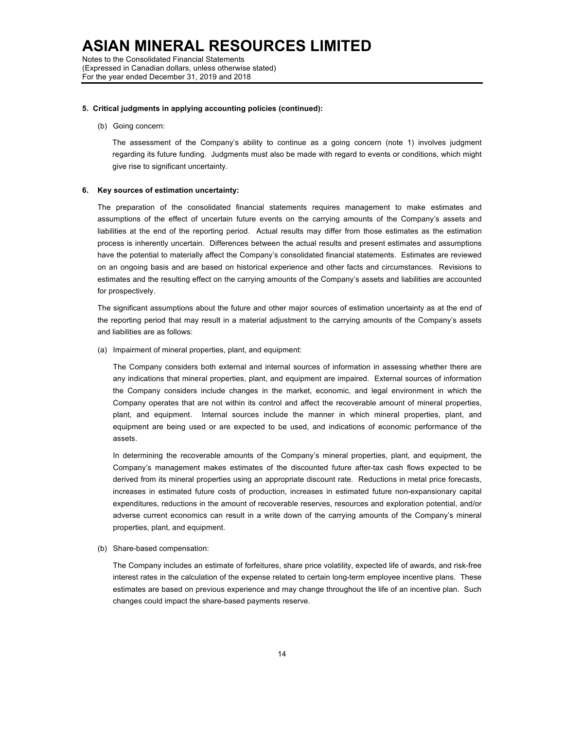Notes to the Consolidated Financial Statements (Expressed in Canadian dollars, unless otherwise stated) For the year ended December 31, 2019 and 2018

#### **5. Critical judgments in applying accounting policies (continued):**

(b) Going concern:

The assessment of the Company's ability to continue as a going concern (note 1) involves judgment regarding its future funding. Judgments must also be made with regard to events or conditions, which might give rise to significant uncertainty.

#### **6. Key sources of estimation uncertainty:**

The preparation of the consolidated financial statements requires management to make estimates and assumptions of the effect of uncertain future events on the carrying amounts of the Company's assets and liabilities at the end of the reporting period. Actual results may differ from those estimates as the estimation process is inherently uncertain. Differences between the actual results and present estimates and assumptions have the potential to materially affect the Company's consolidated financial statements. Estimates are reviewed on an ongoing basis and are based on historical experience and other facts and circumstances. Revisions to estimates and the resulting effect on the carrying amounts of the Company's assets and liabilities are accounted for prospectively.

The significant assumptions about the future and other major sources of estimation uncertainty as at the end of the reporting period that may result in a material adjustment to the carrying amounts of the Company's assets and liabilities are as follows:

(a) Impairment of mineral properties, plant, and equipment:

The Company considers both external and internal sources of information in assessing whether there are any indications that mineral properties, plant, and equipment are impaired. External sources of information the Company considers include changes in the market, economic, and legal environment in which the Company operates that are not within its control and affect the recoverable amount of mineral properties, plant, and equipment. Internal sources include the manner in which mineral properties, plant, and equipment are being used or are expected to be used, and indications of economic performance of the assets.

In determining the recoverable amounts of the Company's mineral properties, plant, and equipment, the Company's management makes estimates of the discounted future after-tax cash flows expected to be derived from its mineral properties using an appropriate discount rate. Reductions in metal price forecasts, increases in estimated future costs of production, increases in estimated future non-expansionary capital expenditures, reductions in the amount of recoverable reserves, resources and exploration potential, and/or adverse current economics can result in a write down of the carrying amounts of the Company's mineral properties, plant, and equipment.

(b) Share-based compensation:

The Company includes an estimate of forfeitures, share price volatility, expected life of awards, and risk-free interest rates in the calculation of the expense related to certain long-term employee incentive plans. These estimates are based on previous experience and may change throughout the life of an incentive plan. Such changes could impact the share-based payments reserve.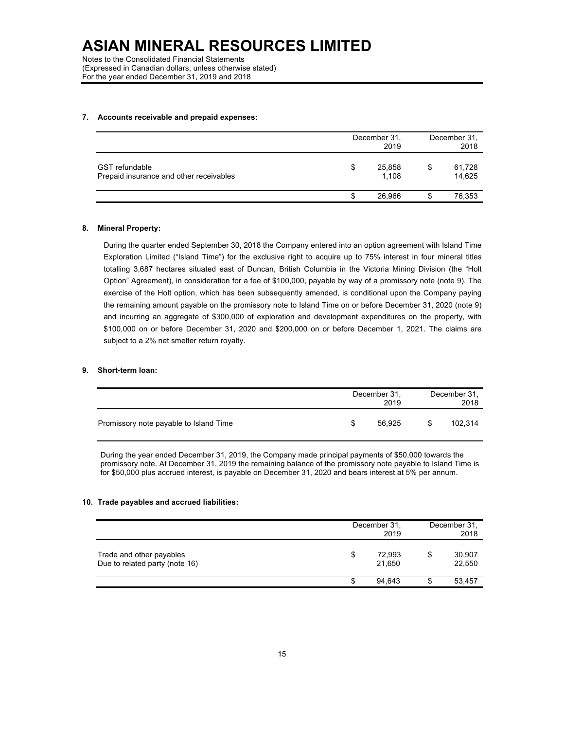Notes to the Consolidated Financial Statements (Expressed in Canadian dollars, unless otherwise stated) For the year ended December 31, 2019 and 2018

## **7. Accounts receivable and prepaid expenses:**

|                                                                  |    | December 31,<br>2019 |    | December 31,<br>2018 |
|------------------------------------------------------------------|----|----------------------|----|----------------------|
| <b>GST</b> refundable<br>Prepaid insurance and other receivables | \$ | 25,858<br>1.108      | S  | 61,728<br>14,625     |
|                                                                  | S  | 26.966               | S. | 76,353               |

## **8. Mineral Property:**

During the quarter ended September 30, 2018 the Company entered into an option agreement with Island Time Exploration Limited ("Island Time") for the exclusive right to acquire up to 75% interest in four mineral titles totalling 3,687 hectares situated east of Duncan, British Columbia in the Victoria Mining Division (the "Holt Option" Agreement), in consideration for a fee of \$100,000, payable by way of a promissory note (note 9). The exercise of the Holt option, which has been subsequently amended, is conditional upon the Company paying the remaining amount payable on the promissory note to Island Time on or before December 31, 2020 (note 9) and incurring an aggregate of \$300,000 of exploration and development expenditures on the property, with \$100,000 on or before December 31, 2020 and \$200,000 on or before December 1, 2021. The claims are subject to a 2% net smelter return royalty.

## **9. Short-term loan:**

|                                        | December 31,<br>2019 |        | December 31,<br>2018 |         |
|----------------------------------------|----------------------|--------|----------------------|---------|
| Promissory note payable to Island Time |                      | 56.925 |                      | 102,314 |

During the year ended December 31, 2019, the Company made principal payments of \$50,000 towards the promissory note. At December 31, 2019 the remaining balance of the promissory note payable to Island Time is for \$50,000 plus accrued interest, is payable on December 31, 2020 and bears interest at 5% per annum.

### **10. Trade payables and accrued liabilities:**

|                                                            |   | December 31,<br>2019 | December 31,<br>2018 |
|------------------------------------------------------------|---|----------------------|----------------------|
| Trade and other payables<br>Due to related party (note 16) | S | 72,993<br>21,650     | 30,907<br>22,550     |
|                                                            | S | 94.643               | 53,457               |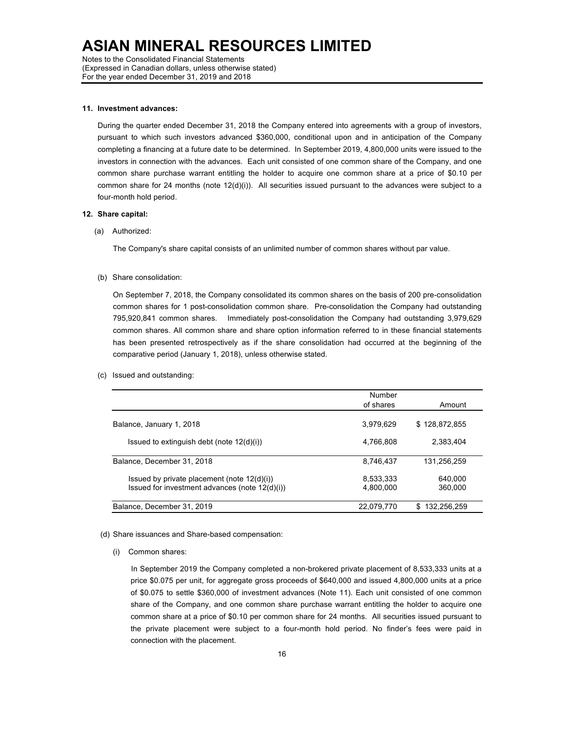Notes to the Consolidated Financial Statements (Expressed in Canadian dollars, unless otherwise stated) For the year ended December 31, 2019 and 2018

#### **11. Investment advances:**

During the quarter ended December 31, 2018 the Company entered into agreements with a group of investors, pursuant to which such investors advanced \$360,000, conditional upon and in anticipation of the Company completing a financing at a future date to be determined. In September 2019, 4,800,000 units were issued to the investors in connection with the advances. Each unit consisted of one common share of the Company, and one common share purchase warrant entitling the holder to acquire one common share at a price of \$0.10 per common share for 24 months (note  $12(d)(i)$ ). All securities issued pursuant to the advances were subject to a four-month hold period.

#### **12. Share capital:**

(a) Authorized:

The Company's share capital consists of an unlimited number of common shares without par value.

#### (b) Share consolidation:

On September 7, 2018, the Company consolidated its common shares on the basis of 200 pre-consolidation common shares for 1 post-consolidation common share. Pre-consolidation the Company had outstanding 795,920,841 common shares. Immediately post-consolidation the Company had outstanding 3,979,629 common shares. All common share and share option information referred to in these financial statements has been presented retrospectively as if the share consolidation had occurred at the beginning of the comparative period (January 1, 2018), unless otherwise stated.

### (c) Issued and outstanding:

|                                                                                                  | Number                 |                    |
|--------------------------------------------------------------------------------------------------|------------------------|--------------------|
|                                                                                                  | of shares              | Amount             |
| Balance, January 1, 2018                                                                         | 3.979.629              | \$128,872,855      |
| Issued to extinguish debt (note $12(d)(i)$ )                                                     | 4,766,808              | 2.383.404          |
| Balance, December 31, 2018                                                                       | 8.746.437              | 131.256.259        |
| Issued by private placement (note $12(d)(i)$ )<br>Issued for investment advances (note 12(d)(i)) | 8,533,333<br>4,800,000 | 640.000<br>360,000 |
| Balance, December 31, 2019                                                                       | 22,079,770             | 132.256.259<br>S.  |

#### (d) Share issuances and Share-based compensation:

(i) Common shares:

In September 2019 the Company completed a non-brokered private placement of 8,533,333 units at a price \$0.075 per unit, for aggregate gross proceeds of \$640,000 and issued 4,800,000 units at a price of \$0.075 to settle \$360,000 of investment advances (Note 11). Each unit consisted of one common share of the Company, and one common share purchase warrant entitling the holder to acquire one common share at a price of \$0.10 per common share for 24 months. All securities issued pursuant to the private placement were subject to a four-month hold period. No finder's fees were paid in connection with the placement.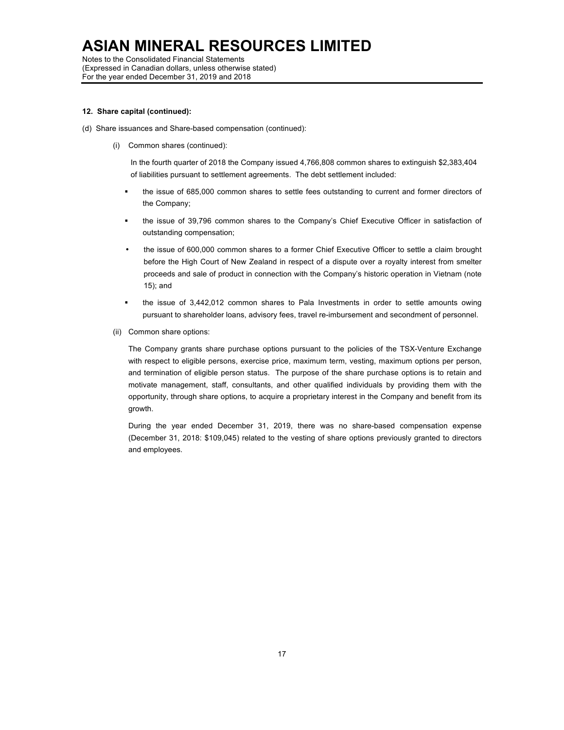Notes to the Consolidated Financial Statements (Expressed in Canadian dollars, unless otherwise stated) For the year ended December 31, 2019 and 2018

### **12. Share capital (continued):**

- (d) Share issuances and Share-based compensation (continued):
	- (i) Common shares (continued):

In the fourth quarter of 2018 the Company issued 4,766,808 common shares to extinguish \$2,383,404 of liabilities pursuant to settlement agreements. The debt settlement included:

- the issue of 685,000 common shares to settle fees outstanding to current and former directors of the Company;
- the issue of 39,796 common shares to the Company's Chief Executive Officer in satisfaction of outstanding compensation;
- the issue of 600,000 common shares to a former Chief Executive Officer to settle a claim brought before the High Court of New Zealand in respect of a dispute over a royalty interest from smelter proceeds and sale of product in connection with the Company's historic operation in Vietnam (note 15); and
- the issue of 3,442,012 common shares to Pala Investments in order to settle amounts owing pursuant to shareholder loans, advisory fees, travel re-imbursement and secondment of personnel.
- (ii) Common share options:

The Company grants share purchase options pursuant to the policies of the TSX-Venture Exchange with respect to eligible persons, exercise price, maximum term, vesting, maximum options per person, and termination of eligible person status. The purpose of the share purchase options is to retain and motivate management, staff, consultants, and other qualified individuals by providing them with the opportunity, through share options, to acquire a proprietary interest in the Company and benefit from its growth.

During the year ended December 31, 2019, there was no share-based compensation expense (December 31, 2018: \$109,045) related to the vesting of share options previously granted to directors and employees.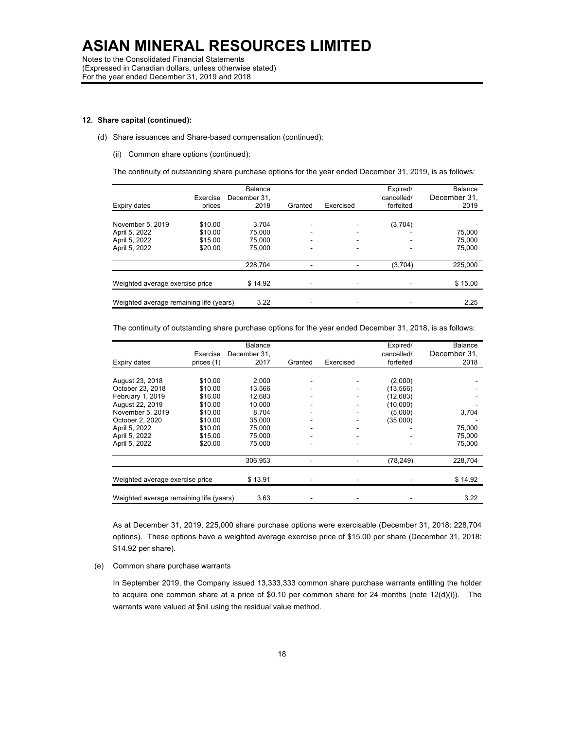Notes to the Consolidated Financial Statements (Expressed in Canadian dollars, unless otherwise stated) For the year ended December 31, 2019 and 2018

### **12. Share capital (continued):**

- (d) Share issuances and Share-based compensation (continued):
	- (ii) Common share options (continued):

The continuity of outstanding share purchase options for the year ended December 31, 2019, is as follows:

| Expiry dates                                                        | Exercise<br>prices                       | Balance<br>December 31.<br>2018     | Granted     | Exercised   | Expired/<br>cancelled/<br>forfeited | Balance<br>December 31.<br>2019 |
|---------------------------------------------------------------------|------------------------------------------|-------------------------------------|-------------|-------------|-------------------------------------|---------------------------------|
| November 5, 2019<br>April 5, 2022<br>April 5, 2022<br>April 5, 2022 | \$10.00<br>\$10.00<br>\$15.00<br>\$20.00 | 3.704<br>75.000<br>75.000<br>75.000 | -<br>۰<br>۰ | -<br>-<br>۰ | (3,704)                             | 75,000<br>75,000<br>75.000      |
|                                                                     |                                          | 228.704                             |             |             | (3,704)                             | 225,000                         |
| Weighted average exercise price                                     |                                          | \$14.92                             |             |             |                                     | \$15.00                         |
| Weighted average remaining life (years)                             |                                          | 3.22                                |             |             |                                     | 2.25                            |

The continuity of outstanding share purchase options for the year ended December 31, 2018, is as follows:

|                                         |            | Balance      |         |           | Expired/   | <b>Balance</b> |
|-----------------------------------------|------------|--------------|---------|-----------|------------|----------------|
|                                         | Exercise   | December 31, |         |           | cancelled/ | December 31.   |
| Expiry dates                            | prices (1) | 2017         | Granted | Exercised | forfeited  | 2018           |
|                                         |            |              |         |           |            |                |
| August 23, 2018                         | \$10.00    | 2.000        |         |           | (2,000)    |                |
| October 23, 2018                        | \$10.00    | 13.566       | ٠       |           | (13, 566)  |                |
| February 1, 2019                        | \$16.00    | 12,683       |         |           | (12, 683)  |                |
| August 22, 2019                         | \$10.00    | 10,000       | ۰       |           | (10,000)   |                |
| November 5, 2019                        | \$10.00    | 8.704        | -       |           | (5,000)    | 3,704          |
| October 2, 2020                         | \$10.00    | 35,000       | ۰       |           | (35,000)   |                |
| April 5, 2022                           | \$10.00    | 75.000       | -       |           |            | 75.000         |
| April 5, 2022                           | \$15.00    | 75,000       | ۰       |           |            | 75,000         |
| April 5, 2022                           | \$20.00    | 75,000       |         |           |            | 75,000         |
|                                         |            | 306,953      |         |           | (78, 249)  | 228,704        |
| Weighted average exercise price         |            | \$13.91      |         |           |            | \$14.92        |
|                                         |            |              |         |           |            |                |
| Weighted average remaining life (years) |            | 3.63         |         |           |            | 3.22           |

As at December 31, 2019, 225,000 share purchase options were exercisable (December 31, 2018: 228,704 options). These options have a weighted average exercise price of \$15.00 per share (December 31, 2018: \$14.92 per share).

### (e) Common share purchase warrants

In September 2019, the Company issued 13,333,333 common share purchase warrants entitling the holder to acquire one common share at a price of \$0.10 per common share for 24 months (note 12(d)(i)). The warrants were valued at \$nil using the residual value method.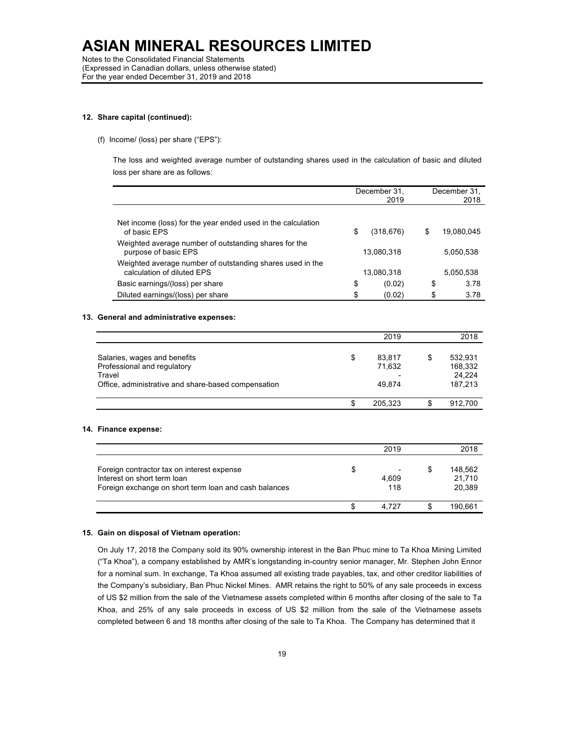Notes to the Consolidated Financial Statements (Expressed in Canadian dollars, unless otherwise stated) For the year ended December 31, 2019 and 2018

### **12. Share capital (continued):**

### (f) Income/ (loss) per share ("EPS"):

The loss and weighted average number of outstanding shares used in the calculation of basic and diluted loss per share are as follows:

|                                                                                         |    | December 31,<br>2019 | December 31.<br>2018 |            |
|-----------------------------------------------------------------------------------------|----|----------------------|----------------------|------------|
|                                                                                         |    |                      |                      |            |
| Net income (loss) for the year ended used in the calculation<br>of basic EPS            | S  | (318, 676)           | S                    | 19,080,045 |
| Weighted average number of outstanding shares for the<br>purpose of basic EPS           |    | 13,080,318           |                      | 5,050,538  |
| Weighted average number of outstanding shares used in the<br>calculation of diluted EPS |    | 13,080,318           |                      | 5,050,538  |
| Basic earnings/(loss) per share                                                         | \$ | (0.02)               | \$                   | 3.78       |
| Diluted earnings/(loss) per share                                                       | \$ | (0.02)               | \$                   | 3.78       |

#### **13. General and administrative expenses:**

|                                                                       |   | 2019             | 2018                         |
|-----------------------------------------------------------------------|---|------------------|------------------------------|
| Salaries, wages and benefits<br>Professional and regulatory<br>Travel | S | 83,817<br>71.632 | 532,931<br>168,332<br>24.224 |
| Office, administrative and share-based compensation                   |   | 49.874           | 187.213                      |
|                                                                       | S | 205.323          | 912.700                      |

### **14. Finance expense:**

|                                                                                                                                    |   | 4.727        | S. | 190.661                     |
|------------------------------------------------------------------------------------------------------------------------------------|---|--------------|----|-----------------------------|
| Foreign contractor tax on interest expense<br>Interest on short term loan<br>Foreign exchange on short term loan and cash balances | S | 4,609<br>118 | S  | 148,562<br>21.710<br>20,389 |
|                                                                                                                                    |   |              |    |                             |
|                                                                                                                                    |   | 2019         |    | 2018                        |
|                                                                                                                                    |   |              |    |                             |

#### **15. Gain on disposal of Vietnam operation:**

On July 17, 2018 the Company sold its 90% ownership interest in the Ban Phuc mine to Ta Khoa Mining Limited ("Ta Khoa"), a company established by AMR's longstanding in-country senior manager, Mr. Stephen John Ennor for a nominal sum. In exchange, Ta Khoa assumed all existing trade payables, tax, and other creditor liabilities of the Company's subsidiary, Ban Phuc Nickel Mines. AMR retains the right to 50% of any sale proceeds in excess of US \$2 million from the sale of the Vietnamese assets completed within 6 months after closing of the sale to Ta Khoa, and 25% of any sale proceeds in excess of US \$2 million from the sale of the Vietnamese assets completed between 6 and 18 months after closing of the sale to Ta Khoa. The Company has determined that it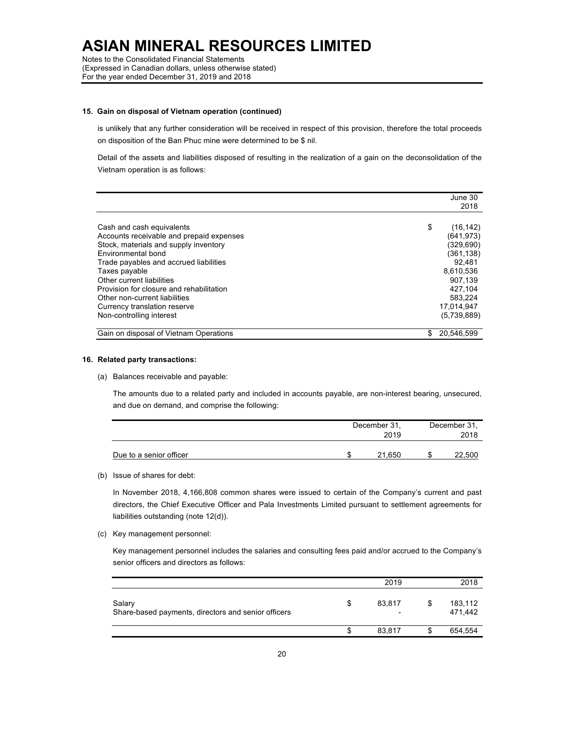Notes to the Consolidated Financial Statements (Expressed in Canadian dollars, unless otherwise stated) For the year ended December 31, 2019 and 2018

### **15. Gain on disposal of Vietnam operation (continued)**

is unlikely that any further consideration will be received in respect of this provision, therefore the total proceeds on disposition of the Ban Phuc mine were determined to be \$ nil.

Detail of the assets and liabilities disposed of resulting in the realization of a gain on the deconsolidation of the Vietnam operation is as follows:

|                                          | June 30         |
|------------------------------------------|-----------------|
|                                          | 2018            |
| Cash and cash equivalents                | \$<br>(16, 142) |
| Accounts receivable and prepaid expenses | (641, 973)      |
| Stock, materials and supply inventory    | (329, 690)      |
| Environmental bond                       | (361, 138)      |
| Trade payables and accrued liabilities   | 92.481          |
| Taxes payable                            | 8,610,536       |
| Other current liabilities                | 907.139         |
| Provision for closure and rehabilitation | 427.104         |
| Other non-current liabilities            | 583.224         |
| Currency translation reserve             | 17,014,947      |
| Non-controlling interest                 | (5,739,889)     |
| Gain on disposal of Vietnam Operations   | 20,546,599      |

### **16. Related party transactions:**

(a) Balances receivable and payable:

The amounts due to a related party and included in accounts payable, are non-interest bearing, unsecured, and due on demand, and comprise the following:

|                         |    | December 31,<br>2019 | December 31,<br>2018 |        |  |
|-------------------------|----|----------------------|----------------------|--------|--|
| Due to a senior officer | ۰D | 21.650               |                      | 22.500 |  |

### (b) Issue of shares for debt:

In November 2018, 4,166,808 common shares were issued to certain of the Company's current and past directors, the Chief Executive Officer and Pala Investments Limited pursuant to settlement agreements for liabilities outstanding (note 12(d)).

(c) Key management personnel:

Key management personnel includes the salaries and consulting fees paid and/or accrued to the Company's senior officers and directors as follows:

|                                                               |    | 2019   |    | 2018               |
|---------------------------------------------------------------|----|--------|----|--------------------|
| Salary<br>Share-based payments, directors and senior officers | S  | 83,817 | \$ | 183,112<br>471.442 |
|                                                               | \$ | 83.817 | S  | 654,554            |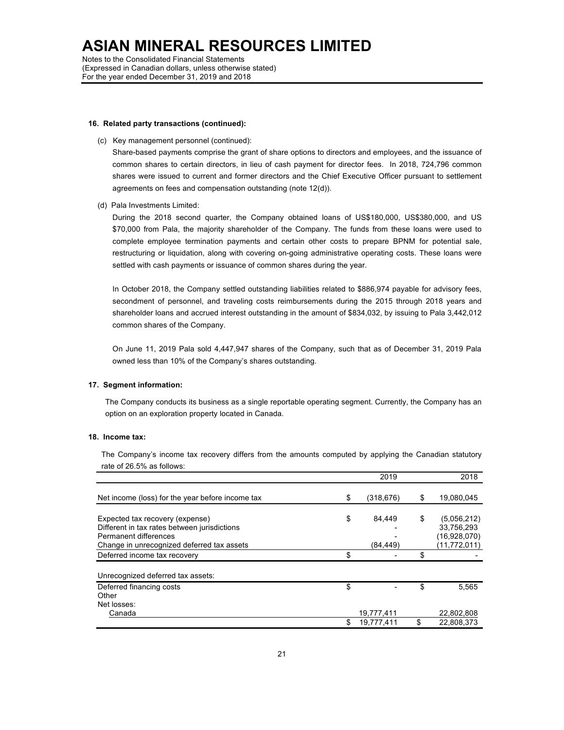Notes to the Consolidated Financial Statements (Expressed in Canadian dollars, unless otherwise stated) For the year ended December 31, 2019 and 2018

#### **16. Related party transactions (continued):**

(c) Key management personnel (continued):

Share-based payments comprise the grant of share options to directors and employees, and the issuance of common shares to certain directors, in lieu of cash payment for director fees. In 2018, 724,796 common shares were issued to current and former directors and the Chief Executive Officer pursuant to settlement agreements on fees and compensation outstanding (note 12(d)).

(d) Pala Investments Limited:

During the 2018 second quarter, the Company obtained loans of US\$180,000, US\$380,000, and US \$70,000 from Pala, the majority shareholder of the Company. The funds from these loans were used to complete employee termination payments and certain other costs to prepare BPNM for potential sale, restructuring or liquidation, along with covering on-going administrative operating costs. These loans were settled with cash payments or issuance of common shares during the year.

In October 2018, the Company settled outstanding liabilities related to \$886,974 payable for advisory fees, secondment of personnel, and traveling costs reimbursements during the 2015 through 2018 years and shareholder loans and accrued interest outstanding in the amount of \$834,032, by issuing to Pala 3,442,012 common shares of the Company.

On June 11, 2019 Pala sold 4,447,947 shares of the Company, such that as of December 31, 2019 Pala owned less than 10% of the Company's shares outstanding.

### **17. Segment information:**

The Company conducts its business as a single reportable operating segment. Currently, the Company has an option on an exploration property located in Canada.

## **18. Income tax:**

The Company's income tax recovery differs from the amounts computed by applying the Canadian statutory rate of 26.5% as follows:

|                                                                                                                                                        | 2019                      |    | 2018                                                        |
|--------------------------------------------------------------------------------------------------------------------------------------------------------|---------------------------|----|-------------------------------------------------------------|
| Net income (loss) for the year before income tax                                                                                                       | \$<br>(318,676)           | S  | 19,080,045                                                  |
| Expected tax recovery (expense)<br>Different in tax rates between jurisdictions<br>Permanent differences<br>Change in unrecognized deferred tax assets | \$<br>84.449<br>(84, 449) | S  | (5,056,212)<br>33,756,293<br>(16,928,070)<br>(11, 772, 011) |
| Deferred income tax recovery                                                                                                                           | \$                        | \$ |                                                             |
| Unrecognized deferred tax assets:                                                                                                                      |                           |    |                                                             |
| Deferred financing costs<br>Other<br>Net losses:                                                                                                       | \$                        | \$ | 5,565                                                       |
| Canada                                                                                                                                                 | 19,777,411                |    | 22,802,808                                                  |
|                                                                                                                                                        | \$<br>19.777.411          | \$ | 22.808.373                                                  |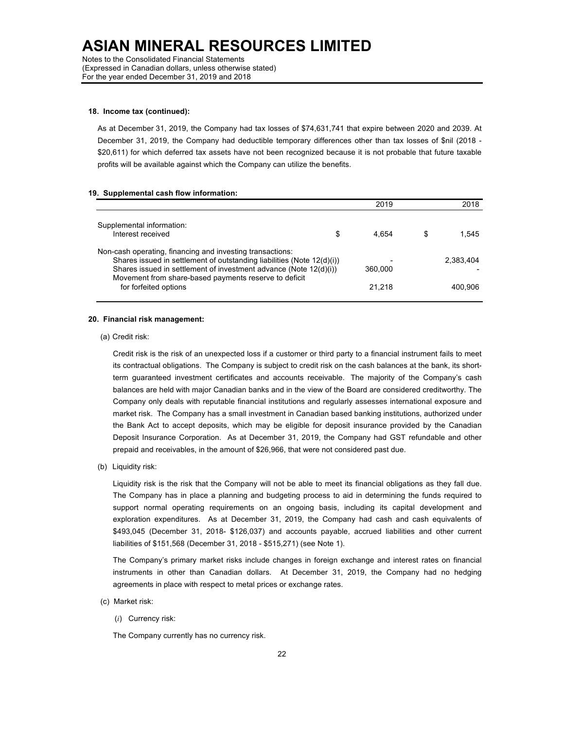Notes to the Consolidated Financial Statements (Expressed in Canadian dollars, unless otherwise stated) For the year ended December 31, 2019 and 2018

#### **18. Income tax (continued):**

As at December 31, 2019, the Company had tax losses of \$74,631,741 that expire between 2020 and 2039. At December 31, 2019, the Company had deductible temporary differences other than tax losses of \$nil (2018 - \$20,611) for which deferred tax assets have not been recognized because it is not probable that future taxable profits will be available against which the Company can utilize the benefits.

### **19. Supplemental cash flow information:**

|                                                                                                                                                                                                                                                                   |   | 2019    |   | 2018      |
|-------------------------------------------------------------------------------------------------------------------------------------------------------------------------------------------------------------------------------------------------------------------|---|---------|---|-----------|
| Supplemental information:<br>Interest received                                                                                                                                                                                                                    | S | 4.654   | S | 1.545     |
| Non-cash operating, financing and investing transactions:<br>Shares issued in settlement of outstanding liabilities (Note 12(d)(i))<br>Shares issued in settlement of investment advance (Note 12(d)(i))<br>Movement from share-based payments reserve to deficit |   | 360.000 |   | 2.383.404 |
| for forfeited options                                                                                                                                                                                                                                             |   | 21.218  |   | 400,906   |

## **20. Financial risk management:**

(a) Credit risk:

Credit risk is the risk of an unexpected loss if a customer or third party to a financial instrument fails to meet its contractual obligations. The Company is subject to credit risk on the cash balances at the bank, its shortterm guaranteed investment certificates and accounts receivable. The majority of the Company's cash balances are held with major Canadian banks and in the view of the Board are considered creditworthy. The Company only deals with reputable financial institutions and regularly assesses international exposure and market risk. The Company has a small investment in Canadian based banking institutions, authorized under the Bank Act to accept deposits, which may be eligible for deposit insurance provided by the Canadian Deposit Insurance Corporation. As at December 31, 2019, the Company had GST refundable and other prepaid and receivables, in the amount of \$26,966, that were not considered past due.

(b) Liquidity risk:

Liquidity risk is the risk that the Company will not be able to meet its financial obligations as they fall due. The Company has in place a planning and budgeting process to aid in determining the funds required to support normal operating requirements on an ongoing basis, including its capital development and exploration expenditures. As at December 31, 2019, the Company had cash and cash equivalents of \$493,045 (December 31, 2018- \$126,037) and accounts payable, accrued liabilities and other current liabilities of \$151,568 (December 31, 2018 - \$515,271) (see Note 1).

The Company's primary market risks include changes in foreign exchange and interest rates on financial instruments in other than Canadian dollars. At December 31, 2019, the Company had no hedging agreements in place with respect to metal prices or exchange rates.

- (c) Market risk:
	- (*i*) Currency risk:

The Company currently has no currency risk.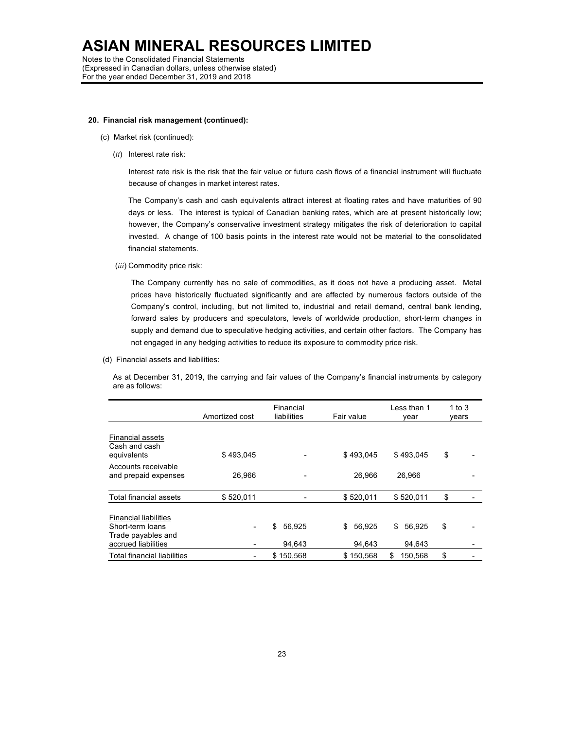Notes to the Consolidated Financial Statements (Expressed in Canadian dollars, unless otherwise stated) For the year ended December 31, 2019 and 2018

### **20. Financial risk management (continued):**

- (c) Market risk (continued):
	- (*ii*) Interest rate risk:

Interest rate risk is the risk that the fair value or future cash flows of a financial instrument will fluctuate because of changes in market interest rates.

The Company's cash and cash equivalents attract interest at floating rates and have maturities of 90 days or less. The interest is typical of Canadian banking rates, which are at present historically low; however, the Company's conservative investment strategy mitigates the risk of deterioration to capital invested. A change of 100 basis points in the interest rate would not be material to the consolidated financial statements.

(*iii*) Commodity price risk:

The Company currently has no sale of commodities, as it does not have a producing asset. Metal prices have historically fluctuated significantly and are affected by numerous factors outside of the Company's control, including, but not limited to, industrial and retail demand, central bank lending, forward sales by producers and speculators, levels of worldwide production, short-term changes in supply and demand due to speculative hedging activities, and certain other factors. The Company has not engaged in any hedging activities to reduce its exposure to commodity price risk.

(d) Financial assets and liabilities:

As at December 31, 2019, the carrying and fair values of the Company's financial instruments by category are as follows:

|                                                                                               | Amortized cost | Financial<br>liabilities | Fair value             | Less than 1<br>year    | 1 to $3$<br>vears |
|-----------------------------------------------------------------------------------------------|----------------|--------------------------|------------------------|------------------------|-------------------|
| <b>Financial assets</b><br>Cash and cash<br>equivalents                                       | \$493,045      |                          | \$493,045              | \$493,045              | \$                |
| Accounts receivable<br>and prepaid expenses                                                   | 26,966         |                          | 26.966                 | 26.966                 |                   |
| <b>Total financial assets</b>                                                                 | \$520,011      |                          | \$520,011              | \$520,011              | \$                |
| <b>Financial liabilities</b><br>Short-term loans<br>Trade payables and<br>accrued liabilities |                | \$<br>56.925<br>94,643   | \$<br>56.925<br>94,643 | \$<br>56.925<br>94,643 | \$                |
| Total financial liabilities                                                                   |                | \$150,568                | \$150,568              | 150,568<br>\$          | \$                |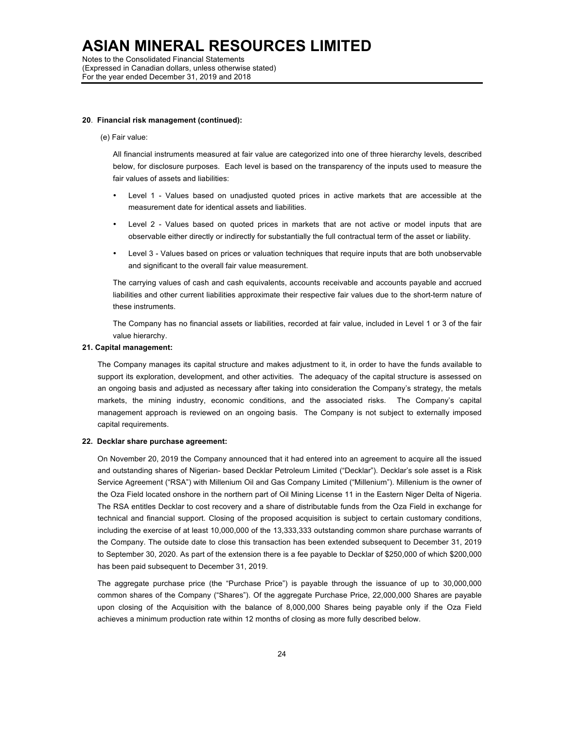Notes to the Consolidated Financial Statements (Expressed in Canadian dollars, unless otherwise stated) For the year ended December 31, 2019 and 2018

### **20**. **Financial risk management (continued):**

#### (e) Fair value:

All financial instruments measured at fair value are categorized into one of three hierarchy levels, described below, for disclosure purposes. Each level is based on the transparency of the inputs used to measure the fair values of assets and liabilities:

- Level 1 Values based on unadjusted quoted prices in active markets that are accessible at the measurement date for identical assets and liabilities.
- Level 2 Values based on quoted prices in markets that are not active or model inputs that are observable either directly or indirectly for substantially the full contractual term of the asset or liability.
- Level 3 Values based on prices or valuation techniques that require inputs that are both unobservable and significant to the overall fair value measurement.

The carrying values of cash and cash equivalents, accounts receivable and accounts payable and accrued liabilities and other current liabilities approximate their respective fair values due to the short-term nature of these instruments.

The Company has no financial assets or liabilities, recorded at fair value, included in Level 1 or 3 of the fair value hierarchy.

#### **21. Capital management:**

The Company manages its capital structure and makes adjustment to it, in order to have the funds available to support its exploration, development, and other activities. The adequacy of the capital structure is assessed on an ongoing basis and adjusted as necessary after taking into consideration the Company's strategy, the metals markets, the mining industry, economic conditions, and the associated risks. The Company's capital management approach is reviewed on an ongoing basis. The Company is not subject to externally imposed capital requirements.

### **22. Decklar share purchase agreement:**

On November 20, 2019 the Company announced that it had entered into an agreement to acquire all the issued and outstanding shares of Nigerian- based Decklar Petroleum Limited ("Decklar"). Decklar's sole asset is a Risk Service Agreement ("RSA") with Millenium Oil and Gas Company Limited ("Millenium"). Millenium is the owner of the Oza Field located onshore in the northern part of Oil Mining License 11 in the Eastern Niger Delta of Nigeria. The RSA entitles Decklar to cost recovery and a share of distributable funds from the Oza Field in exchange for technical and financial support. Closing of the proposed acquisition is subject to certain customary conditions, including the exercise of at least 10,000,000 of the 13,333,333 outstanding common share purchase warrants of the Company. The outside date to close this transaction has been extended subsequent to December 31, 2019 to September 30, 2020. As part of the extension there is a fee payable to Decklar of \$250,000 of which \$200,000 has been paid subsequent to December 31, 2019.

The aggregate purchase price (the "Purchase Price") is payable through the issuance of up to 30,000,000 common shares of the Company ("Shares"). Of the aggregate Purchase Price, 22,000,000 Shares are payable upon closing of the Acquisition with the balance of 8,000,000 Shares being payable only if the Oza Field achieves a minimum production rate within 12 months of closing as more fully described below.